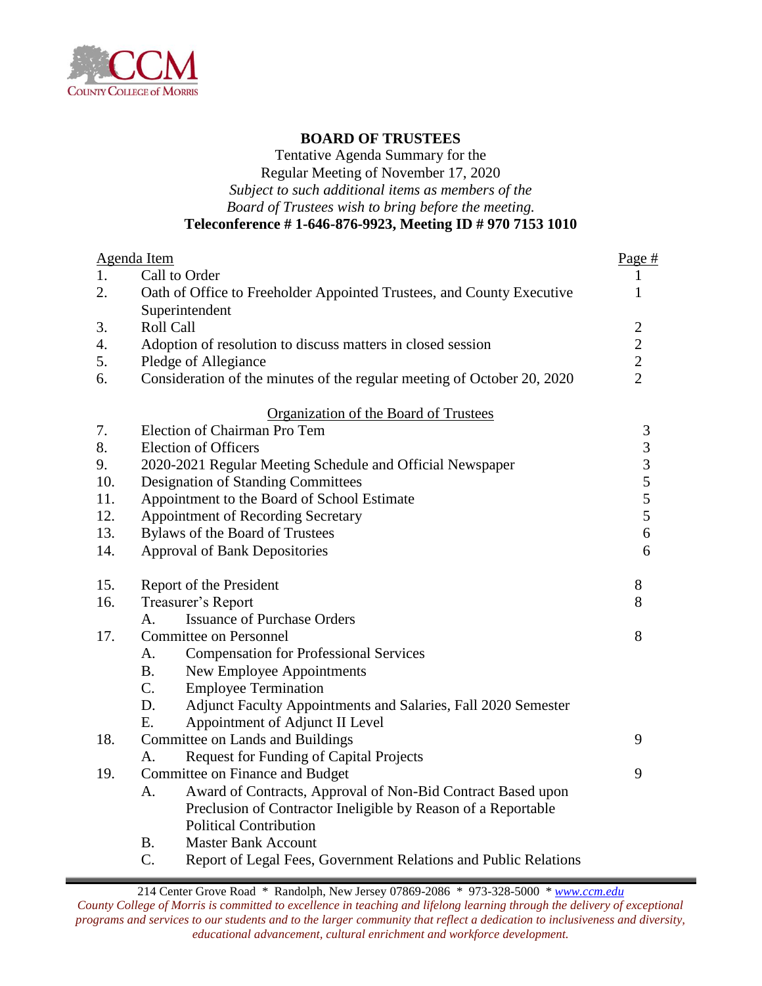

### **BOARD OF TRUSTEES**

Tentative Agenda Summary for the

Regular Meeting of November 17, 2020

*Subject to such additional items as members of the Board of Trustees wish to bring before the meeting.*

**Teleconference # 1-646-876-9923, Meeting ID # 970 7153 1010**

|                | Agenda Item     |                                                                         | Page $#$                                   |
|----------------|-----------------|-------------------------------------------------------------------------|--------------------------------------------|
| 1 <sub>1</sub> |                 | Call to Order                                                           | 1                                          |
| 2.             |                 | Oath of Office to Freeholder Appointed Trustees, and County Executive   | 1                                          |
|                |                 | Superintendent                                                          |                                            |
| 3.             |                 | <b>Roll Call</b>                                                        | $\boldsymbol{2}$                           |
| 4.             |                 | Adoption of resolution to discuss matters in closed session             |                                            |
| 5.             |                 | Pledge of Allegiance                                                    | $\begin{array}{c} 2 \\ 2 \\ 2 \end{array}$ |
| 6.             |                 | Consideration of the minutes of the regular meeting of October 20, 2020 |                                            |
|                |                 | Organization of the Board of Trustees                                   |                                            |
| 7.             |                 | Election of Chairman Pro Tem                                            | $\mathfrak{Z}$                             |
| 8.             |                 | <b>Election of Officers</b>                                             | 3                                          |
| 9.             |                 | 2020-2021 Regular Meeting Schedule and Official Newspaper               | 3                                          |
| 10.            |                 | Designation of Standing Committees                                      | 5                                          |
| 11.            |                 | Appointment to the Board of School Estimate                             | 5                                          |
| 12.            |                 | Appointment of Recording Secretary                                      | 5                                          |
| 13.            |                 | Bylaws of the Board of Trustees                                         | 6                                          |
| 14.            |                 | <b>Approval of Bank Depositories</b>                                    | 6                                          |
| 15.            |                 | Report of the President                                                 | 8                                          |
| 16.            |                 | Treasurer's Report                                                      | 8                                          |
|                | A <sub>1</sub>  | <b>Issuance of Purchase Orders</b>                                      |                                            |
| 17.            |                 | <b>Committee on Personnel</b>                                           | 8                                          |
|                | A.              | <b>Compensation for Professional Services</b>                           |                                            |
|                | B <sub>1</sub>  | New Employee Appointments                                               |                                            |
|                | C.              | <b>Employee Termination</b>                                             |                                            |
|                | D.              | Adjunct Faculty Appointments and Salaries, Fall 2020 Semester           |                                            |
|                | E.              | Appointment of Adjunct II Level                                         |                                            |
| 18.            |                 | Committee on Lands and Buildings                                        | 9                                          |
|                | A <sub>1</sub>  | Request for Funding of Capital Projects                                 |                                            |
| 19.            |                 | Committee on Finance and Budget                                         | 9                                          |
|                | A.              | Award of Contracts, Approval of Non-Bid Contract Based upon             |                                            |
|                |                 | Preclusion of Contractor Ineligible by Reason of a Reportable           |                                            |
|                |                 | <b>Political Contribution</b>                                           |                                            |
|                | <b>B.</b>       | <b>Master Bank Account</b>                                              |                                            |
|                | $\mathcal{C}$ . | Report of Legal Fees, Government Relations and Public Relations         |                                            |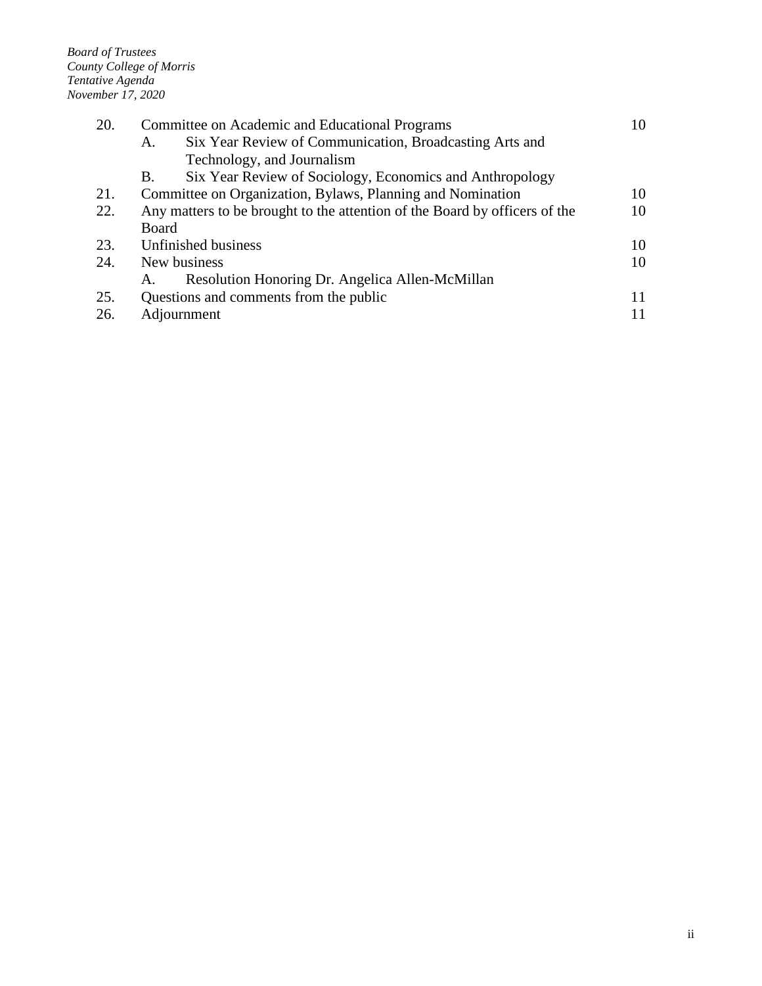| 20. | Committee on Academic and Educational Programs                             | 10 |
|-----|----------------------------------------------------------------------------|----|
|     | Six Year Review of Communication, Broadcasting Arts and<br>А.              |    |
|     | Technology, and Journalism                                                 |    |
|     | Six Year Review of Sociology, Economics and Anthropology<br>B.             |    |
| 21. | Committee on Organization, Bylaws, Planning and Nomination                 | 10 |
| 22. | Any matters to be brought to the attention of the Board by officers of the | 10 |
|     | Board                                                                      |    |
| 23. | Unfinished business                                                        | 10 |
| 24. | New business                                                               | 10 |
|     | Resolution Honoring Dr. Angelica Allen-McMillan<br>A.                      |    |
| 25. | Questions and comments from the public                                     | 11 |
| 26. | Adjournment                                                                |    |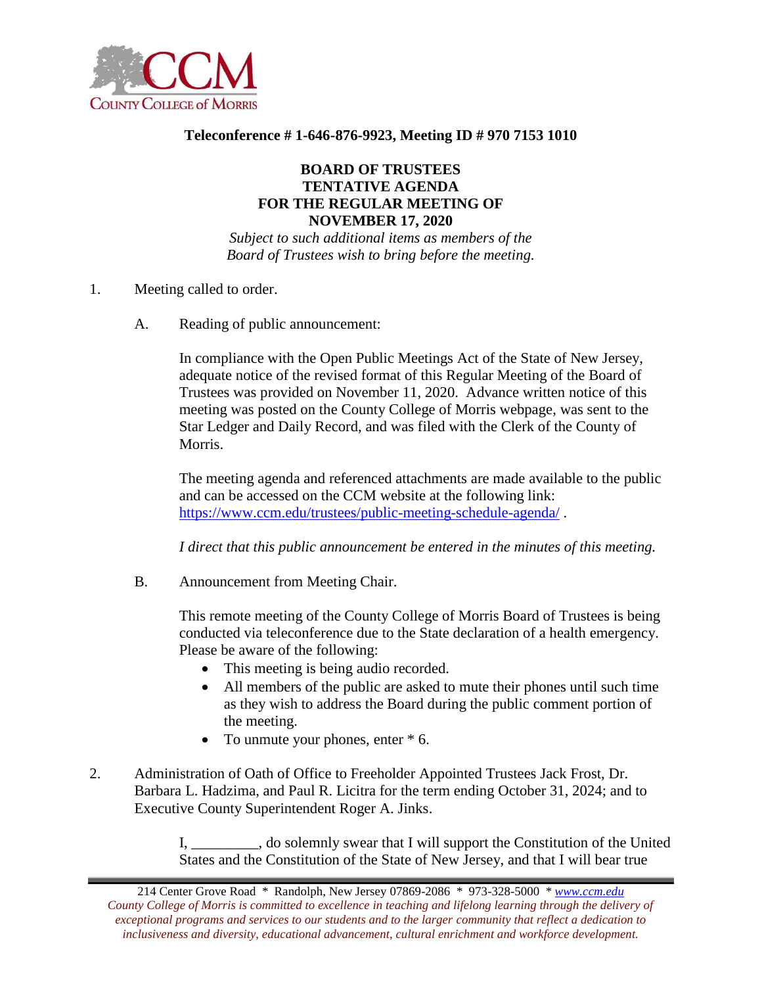

### **Teleconference # 1-646-876-9923, Meeting ID # 970 7153 1010**

### **BOARD OF TRUSTEES TENTATIVE AGENDA FOR THE REGULAR MEETING OF NOVEMBER 17, 2020**

*Subject to such additional items as members of the Board of Trustees wish to bring before the meeting.*

- 1. Meeting called to order.
	- A. Reading of public announcement:

In compliance with the Open Public Meetings Act of the State of New Jersey, adequate notice of the revised format of this Regular Meeting of the Board of Trustees was provided on November 11, 2020. Advance written notice of this meeting was posted on the County College of Morris webpage, was sent to the Star Ledger and Daily Record, and was filed with the Clerk of the County of Morris.

The meeting agenda and referenced attachments are made available to the public and can be accessed on the CCM website at the following link: <https://www.ccm.edu/trustees/public-meeting-schedule-agenda/> .

*I direct that this public announcement be entered in the minutes of this meeting.*

B. Announcement from Meeting Chair.

This remote meeting of the County College of Morris Board of Trustees is being conducted via teleconference due to the State declaration of a health emergency. Please be aware of the following:

- This meeting is being audio recorded.
- All members of the public are asked to mute their phones until such time as they wish to address the Board during the public comment portion of the meeting.
- To unmute your phones, enter  $*$  6.
- 2. Administration of Oath of Office to Freeholder Appointed Trustees Jack Frost, Dr. Barbara L. Hadzima, and Paul R. Licitra for the term ending October 31, 2024; and to Executive County Superintendent Roger A. Jinks.

I, \_\_\_\_\_\_\_\_\_, do solemnly swear that I will support the Constitution of the United States and the Constitution of the State of New Jersey, and that I will bear true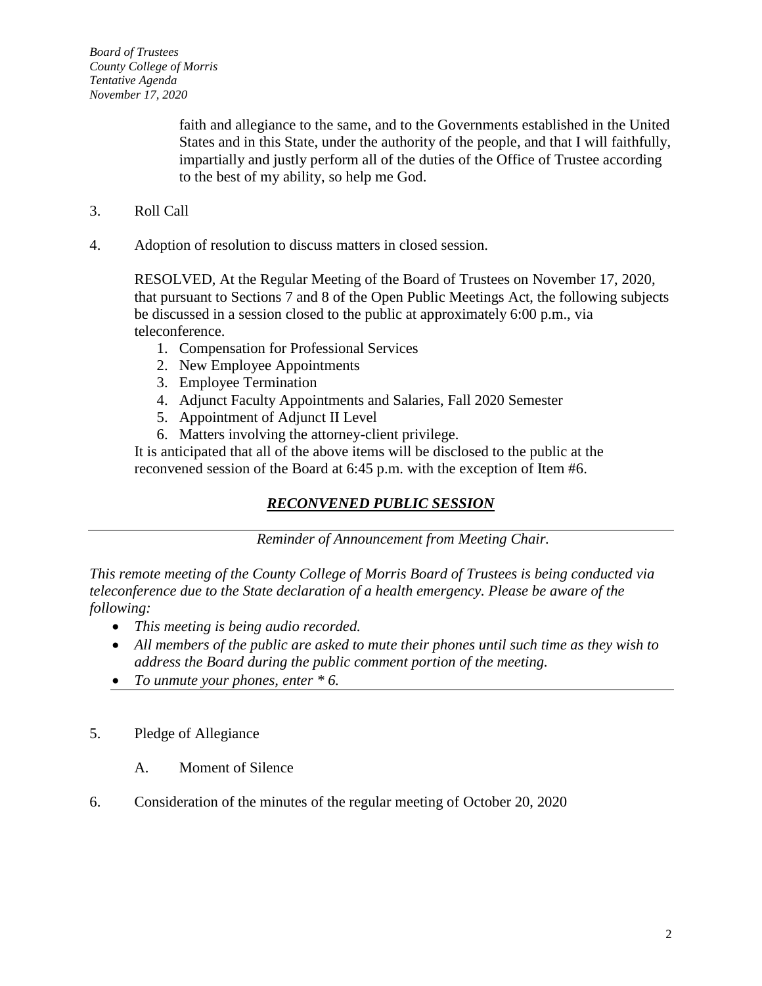*Board of Trustees County College of Morris Tentative Agenda November 17, 2020*

> faith and allegiance to the same, and to the Governments established in the United States and in this State, under the authority of the people, and that I will faithfully, impartially and justly perform all of the duties of the Office of Trustee according to the best of my ability, so help me God.

- 3. Roll Call
- 4. Adoption of resolution to discuss matters in closed session.

RESOLVED, At the Regular Meeting of the Board of Trustees on November 17, 2020, that pursuant to Sections 7 and 8 of the Open Public Meetings Act, the following subjects be discussed in a session closed to the public at approximately 6:00 p.m., via teleconference.

- 1. Compensation for Professional Services
- 2. New Employee Appointments
- 3. Employee Termination
- 4. Adjunct Faculty Appointments and Salaries, Fall 2020 Semester
- 5. Appointment of Adjunct II Level
- 6. Matters involving the attorney-client privilege.

It is anticipated that all of the above items will be disclosed to the public at the reconvened session of the Board at 6:45 p.m. with the exception of Item #6.

### *RECONVENED PUBLIC SESSION*

*Reminder of Announcement from Meeting Chair.*

*This remote meeting of the County College of Morris Board of Trustees is being conducted via teleconference due to the State declaration of a health emergency. Please be aware of the following:*

- *This meeting is being audio recorded.*
- *All members of the public are asked to mute their phones until such time as they wish to address the Board during the public comment portion of the meeting.*
- *To unmute your phones, enter \* 6.*
- 5. Pledge of Allegiance
	- A. Moment of Silence
- 6. Consideration of the minutes of the regular meeting of October 20, 2020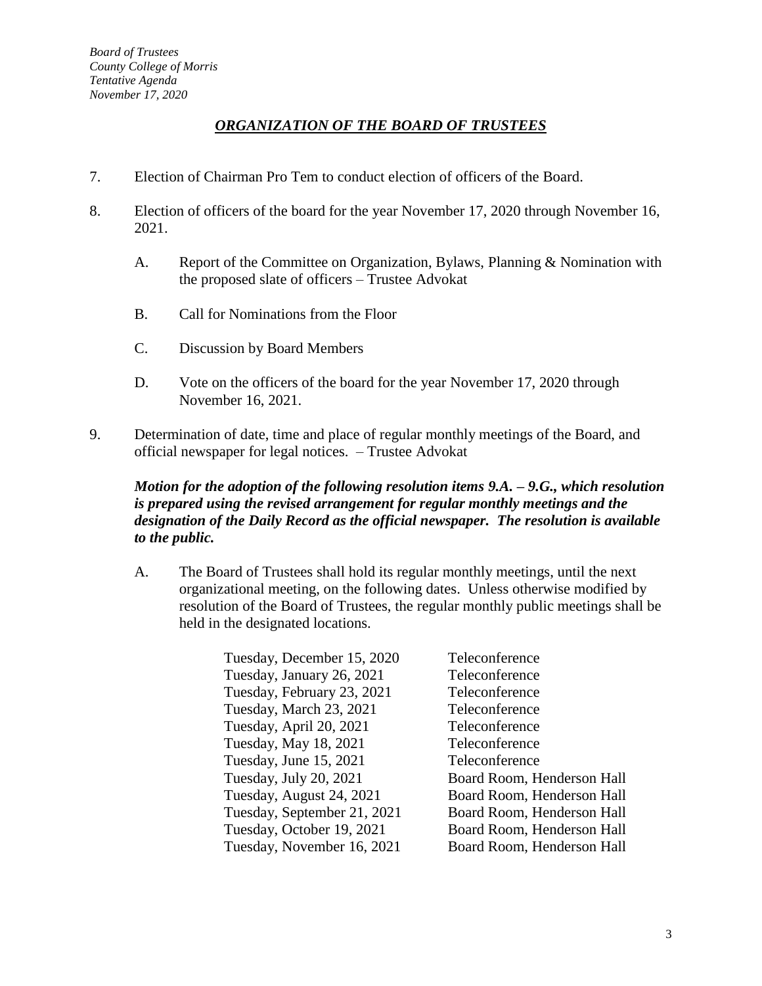### *ORGANIZATION OF THE BOARD OF TRUSTEES*

- 7. Election of Chairman Pro Tem to conduct election of officers of the Board.
- 8. Election of officers of the board for the year November 17, 2020 through November 16, 2021.
	- A. Report of the Committee on Organization, Bylaws, Planning & Nomination with the proposed slate of officers – Trustee Advokat
	- B. Call for Nominations from the Floor
	- C. Discussion by Board Members
	- D. Vote on the officers of the board for the year November 17, 2020 through November 16, 2021.
- 9. Determination of date, time and place of regular monthly meetings of the Board, and official newspaper for legal notices. – Trustee Advokat

### *Motion for the adoption of the following resolution items 9.A. – 9.G., which resolution is prepared using the revised arrangement for regular monthly meetings and the designation of the Daily Record as the official newspaper. The resolution is available to the public.*

A. The Board of Trustees shall hold its regular monthly meetings, until the next organizational meeting, on the following dates. Unless otherwise modified by resolution of the Board of Trustees, the regular monthly public meetings shall be held in the designated locations.

| Tuesday, December 15, 2020  | Teleconference             |
|-----------------------------|----------------------------|
| Tuesday, January 26, 2021   | Teleconference             |
| Tuesday, February 23, 2021  | Teleconference             |
| Tuesday, March 23, 2021     | Teleconference             |
| Tuesday, April 20, 2021     | Teleconference             |
| Tuesday, May 18, 2021       | Teleconference             |
| Tuesday, June 15, 2021      | Teleconference             |
| Tuesday, July 20, 2021      | Board Room, Henderson Hall |
| Tuesday, August 24, 2021    | Board Room, Henderson Hall |
| Tuesday, September 21, 2021 | Board Room, Henderson Hall |
| Tuesday, October 19, 2021   | Board Room, Henderson Hall |
| Tuesday, November 16, 2021  | Board Room, Henderson Hall |
|                             |                            |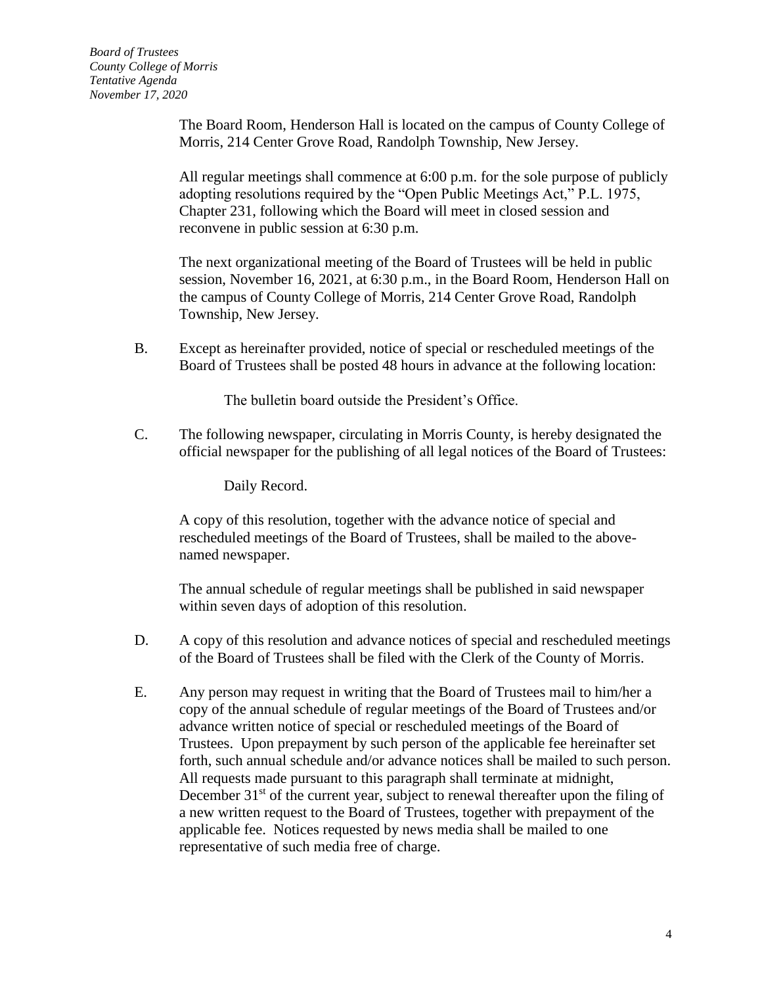The Board Room, Henderson Hall is located on the campus of County College of Morris, 214 Center Grove Road, Randolph Township, New Jersey.

All regular meetings shall commence at 6:00 p.m. for the sole purpose of publicly adopting resolutions required by the "Open Public Meetings Act," P.L. 1975, Chapter 231, following which the Board will meet in closed session and reconvene in public session at 6:30 p.m.

The next organizational meeting of the Board of Trustees will be held in public session, November 16, 2021, at 6:30 p.m., in the Board Room, Henderson Hall on the campus of County College of Morris, 214 Center Grove Road, Randolph Township, New Jersey.

B. Except as hereinafter provided, notice of special or rescheduled meetings of the Board of Trustees shall be posted 48 hours in advance at the following location:

The bulletin board outside the President's Office.

C. The following newspaper, circulating in Morris County, is hereby designated the official newspaper for the publishing of all legal notices of the Board of Trustees:

Daily Record.

A copy of this resolution, together with the advance notice of special and rescheduled meetings of the Board of Trustees, shall be mailed to the abovenamed newspaper.

The annual schedule of regular meetings shall be published in said newspaper within seven days of adoption of this resolution.

- D. A copy of this resolution and advance notices of special and rescheduled meetings of the Board of Trustees shall be filed with the Clerk of the County of Morris.
- E. Any person may request in writing that the Board of Trustees mail to him/her a copy of the annual schedule of regular meetings of the Board of Trustees and/or advance written notice of special or rescheduled meetings of the Board of Trustees. Upon prepayment by such person of the applicable fee hereinafter set forth, such annual schedule and/or advance notices shall be mailed to such person. All requests made pursuant to this paragraph shall terminate at midnight, December  $31<sup>st</sup>$  of the current year, subject to renewal thereafter upon the filing of a new written request to the Board of Trustees, together with prepayment of the applicable fee. Notices requested by news media shall be mailed to one representative of such media free of charge.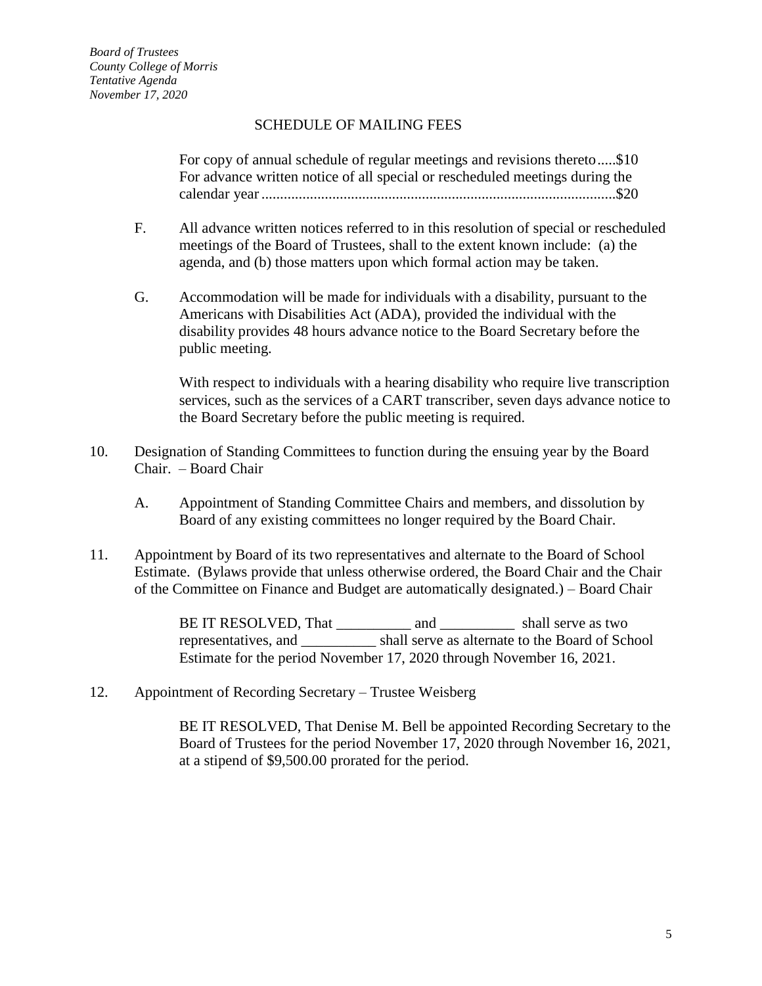### SCHEDULE OF MAILING FEES

For copy of annual schedule of regular meetings and revisions thereto.....\$10 For advance written notice of all special or rescheduled meetings during the calendar year...............................................................................................\$20

- F. All advance written notices referred to in this resolution of special or rescheduled meetings of the Board of Trustees, shall to the extent known include: (a) the agenda, and (b) those matters upon which formal action may be taken.
- G. Accommodation will be made for individuals with a disability, pursuant to the Americans with Disabilities Act (ADA), provided the individual with the disability provides 48 hours advance notice to the Board Secretary before the public meeting.

With respect to individuals with a hearing disability who require live transcription services, such as the services of a CART transcriber, seven days advance notice to the Board Secretary before the public meeting is required.

- 10. Designation of Standing Committees to function during the ensuing year by the Board Chair. – Board Chair
	- A. Appointment of Standing Committee Chairs and members, and dissolution by Board of any existing committees no longer required by the Board Chair.
- 11. Appointment by Board of its two representatives and alternate to the Board of School Estimate. (Bylaws provide that unless otherwise ordered, the Board Chair and the Chair of the Committee on Finance and Budget are automatically designated.) – Board Chair

BE IT RESOLVED, That \_\_\_\_\_\_\_\_\_\_\_ and \_\_\_\_\_\_\_\_\_\_\_ shall serve as two representatives, and \_\_\_\_\_\_\_\_\_\_ shall serve as alternate to the Board of School Estimate for the period November 17, 2020 through November 16, 2021.

12. Appointment of Recording Secretary – Trustee Weisberg

BE IT RESOLVED, That Denise M. Bell be appointed Recording Secretary to the Board of Trustees for the period November 17, 2020 through November 16, 2021, at a stipend of \$9,500.00 prorated for the period.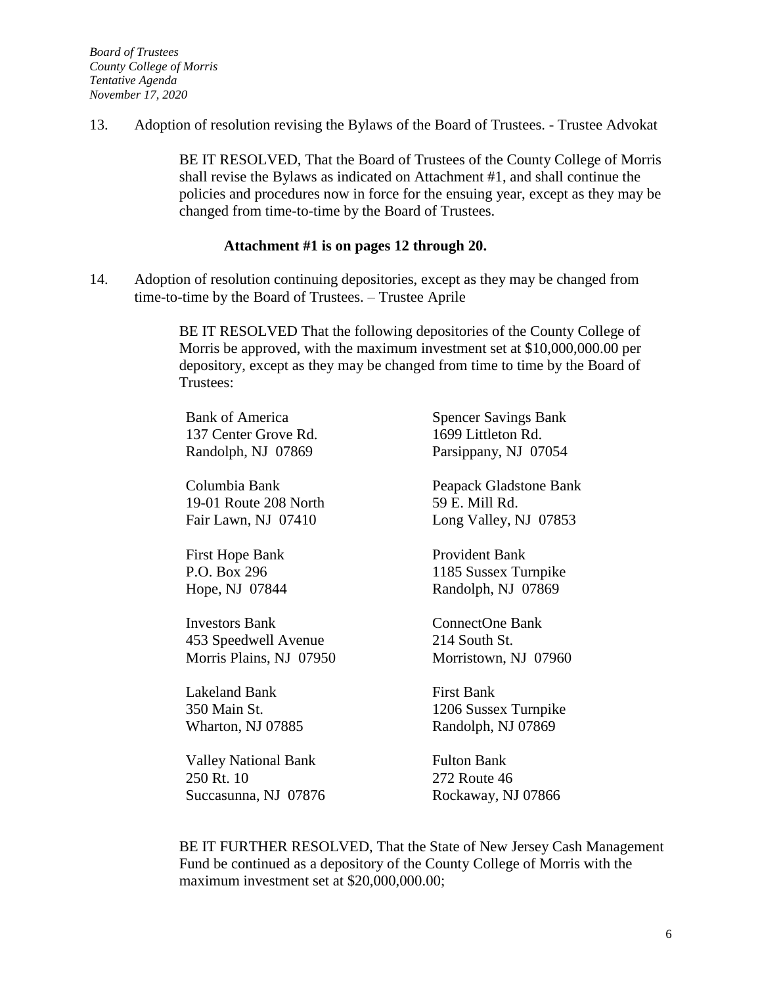13. Adoption of resolution revising the Bylaws of the Board of Trustees. - Trustee Advokat

BE IT RESOLVED, That the Board of Trustees of the County College of Morris shall revise the Bylaws as indicated on Attachment #1, and shall continue the policies and procedures now in force for the ensuing year, except as they may be changed from time-to-time by the Board of Trustees.

#### **Attachment #1 is on pages 12 through 20.**

14. Adoption of resolution continuing depositories, except as they may be changed from time-to-time by the Board of Trustees. – Trustee Aprile

> BE IT RESOLVED That the following depositories of the County College of Morris be approved, with the maximum investment set at \$10,000,000.00 per depository, except as they may be changed from time to time by the Board of Trustees:

Bank of America 137 Center Grove Rd. Randolph, NJ 07869

Columbia Bank 19-01 Route 208 North Fair Lawn, NJ 07410

First Hope Bank P.O. Box 296 Hope, NJ 07844

Investors Bank 453 Speedwell Avenue Morris Plains, NJ 07950

Lakeland Bank 350 Main St. Wharton, NJ 07885

Valley National Bank 250 Rt. 10 Succasunna, NJ 07876 Spencer Savings Bank 1699 Littleton Rd. Parsippany, NJ 07054

Peapack Gladstone Bank 59 E. Mill Rd. Long Valley, NJ 07853

Provident Bank 1185 Sussex Turnpike Randolph, NJ 07869

ConnectOne Bank 214 South St. Morristown, NJ 07960

First Bank 1206 Sussex Turnpike Randolph, NJ 07869

Fulton Bank 272 Route 46 Rockaway, NJ 07866

BE IT FURTHER RESOLVED, That the State of New Jersey Cash Management Fund be continued as a depository of the County College of Morris with the maximum investment set at \$20,000,000.00;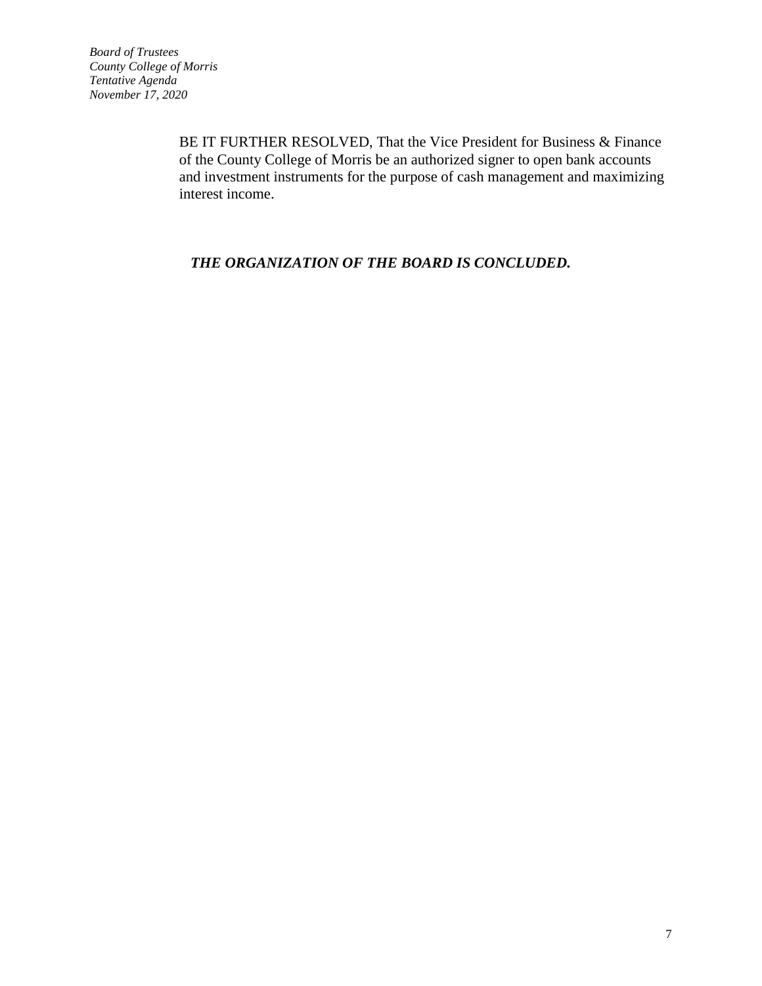BE IT FURTHER RESOLVED, That the Vice President for Business & Finance of the County College of Morris be an authorized signer to open bank accounts and investment instruments for the purpose of cash management and maximizing interest income.

*THE ORGANIZATION OF THE BOARD IS CONCLUDED.*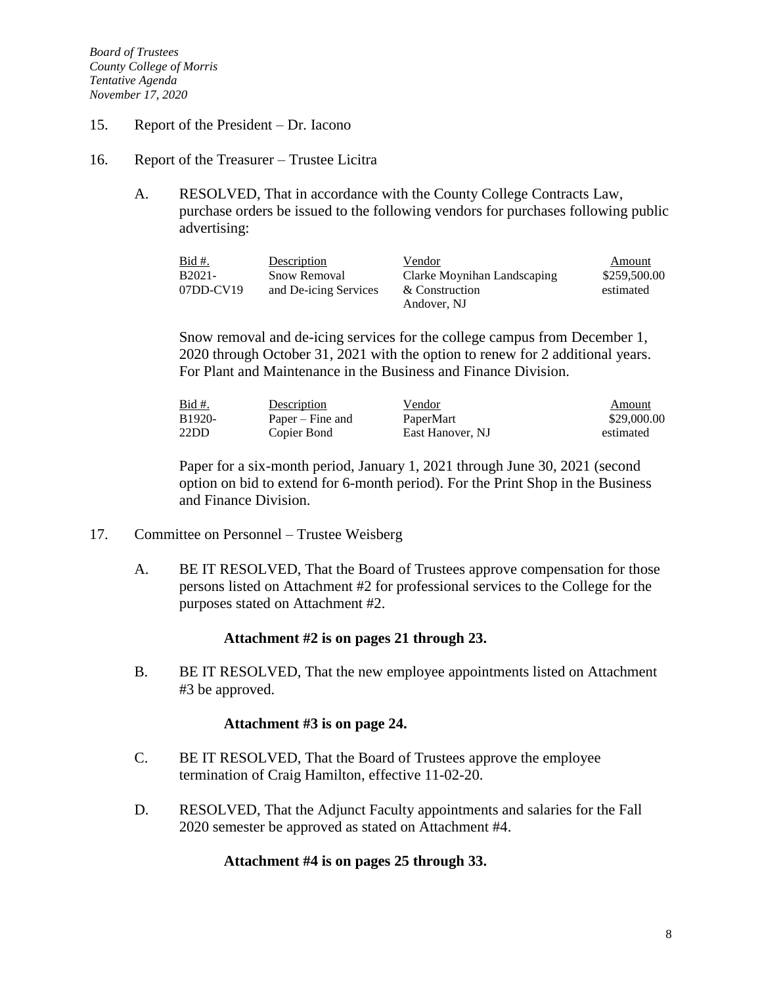- 15. Report of the President Dr. Iacono
- 16. Report of the Treasurer Trustee Licitra
	- A. RESOLVED, That in accordance with the County College Contracts Law, purchase orders be issued to the following vendors for purchases following public advertising:

| <u>Bid #.</u> | Description           | Vendor                      | Amount       |
|---------------|-----------------------|-----------------------------|--------------|
| B2021-        | Snow Removal          | Clarke Moynihan Landscaping | \$259,500.00 |
| 07DD-CV19     | and De-icing Services | & Construction              | estimated    |
|               |                       | Andover, NJ                 |              |

Snow removal and de-icing services for the college campus from December 1, 2020 through October 31, 2021 with the option to renew for 2 additional years. For Plant and Maintenance in the Business and Finance Division.

| <u>Bid #.</u> | Description        | Vendor           | Amount      |
|---------------|--------------------|------------------|-------------|
| B1920-        | $Paper - Fine$ and | PaperMart        | \$29,000.00 |
| 22DD          | Copier Bond        | East Hanover, NJ | estimated   |

Paper for a six-month period, January 1, 2021 through June 30, 2021 (second option on bid to extend for 6-month period). For the Print Shop in the Business and Finance Division.

- 17. Committee on Personnel Trustee Weisberg
	- A. BE IT RESOLVED, That the Board of Trustees approve compensation for those persons listed on Attachment #2 for professional services to the College for the purposes stated on Attachment #2.

#### **Attachment #2 is on pages 21 through 23.**

B. BE IT RESOLVED, That the new employee appointments listed on Attachment #3 be approved.

#### **Attachment #3 is on page 24.**

- C. BE IT RESOLVED, That the Board of Trustees approve the employee termination of Craig Hamilton, effective 11-02-20.
- D. RESOLVED, That the Adjunct Faculty appointments and salaries for the Fall 2020 semester be approved as stated on Attachment #4.

#### **Attachment #4 is on pages 25 through 33.**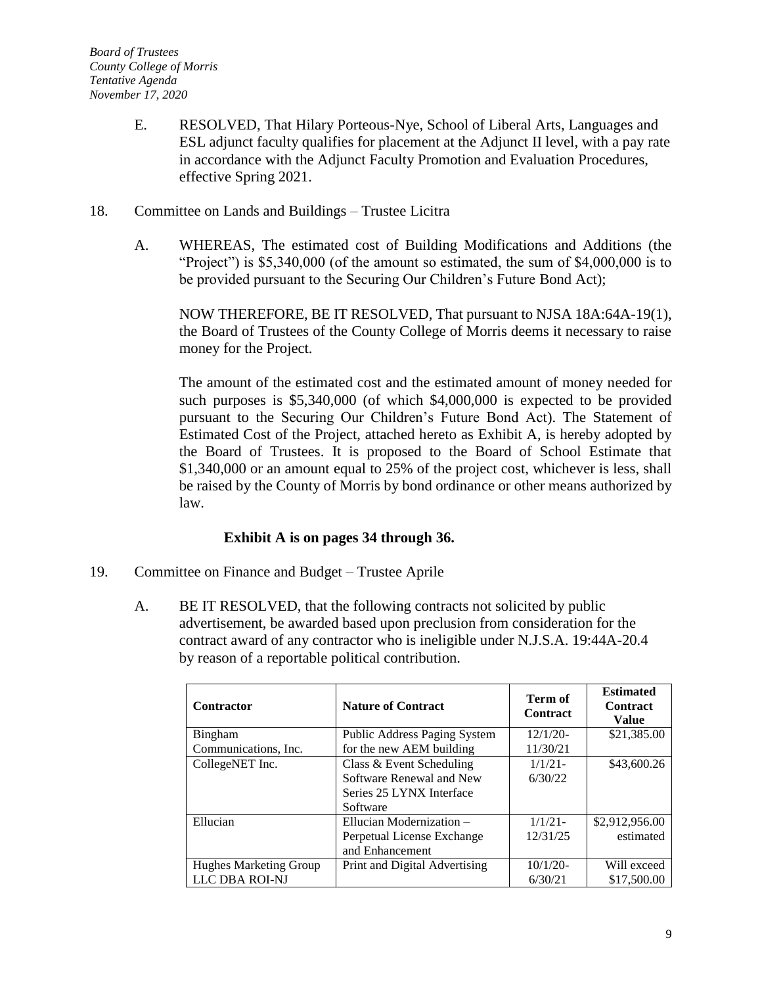- E. RESOLVED, That Hilary Porteous-Nye, School of Liberal Arts, Languages and ESL adjunct faculty qualifies for placement at the Adjunct II level, with a pay rate in accordance with the Adjunct Faculty Promotion and Evaluation Procedures, effective Spring 2021.
- 18. Committee on Lands and Buildings Trustee Licitra
	- A. WHEREAS, The estimated cost of Building Modifications and Additions (the "Project") is \$5,340,000 (of the amount so estimated, the sum of \$4,000,000 is to be provided pursuant to the Securing Our Children's Future Bond Act);

NOW THEREFORE, BE IT RESOLVED, That pursuant to NJSA 18A:64A-19(1), the Board of Trustees of the County College of Morris deems it necessary to raise money for the Project.

The amount of the estimated cost and the estimated amount of money needed for such purposes is \$5,340,000 (of which \$4,000,000 is expected to be provided pursuant to the Securing Our Children's Future Bond Act). The Statement of Estimated Cost of the Project, attached hereto as Exhibit A, is hereby adopted by the Board of Trustees. It is proposed to the Board of School Estimate that \$1,340,000 or an amount equal to 25% of the project cost, whichever is less, shall be raised by the County of Morris by bond ordinance or other means authorized by law.

### **Exhibit A is on pages 34 through 36.**

- 19. Committee on Finance and Budget Trustee Aprile
	- A. BE IT RESOLVED, that the following contracts not solicited by public advertisement, be awarded based upon preclusion from consideration for the contract award of any contractor who is ineligible under N.J.S.A. 19:44A-20.4 by reason of a reportable political contribution.

| <b>Contractor</b>             | <b>Nature of Contract</b>           | Term of<br>Contract | <b>Estimated</b><br><b>Contract</b><br><b>Value</b> |
|-------------------------------|-------------------------------------|---------------------|-----------------------------------------------------|
| <b>Bingham</b>                | <b>Public Address Paging System</b> | $12/1/20$ -         | \$21,385.00                                         |
| Communications, Inc.          | for the new AEM building            | 11/30/21            |                                                     |
| CollegeNET Inc.               | Class & Event Scheduling            | $1/1/21$ -          | \$43,600.26                                         |
|                               | Software Renewal and New            | 6/30/22             |                                                     |
|                               | Series 25 LYNX Interface            |                     |                                                     |
|                               | Software                            |                     |                                                     |
| Ellucian                      | Ellucian Modernization -            | $1/1/21$ -          | \$2,912,956.00                                      |
|                               | Perpetual License Exchange          | 12/31/25            | estimated                                           |
|                               | and Enhancement                     |                     |                                                     |
| <b>Hughes Marketing Group</b> | Print and Digital Advertising       | $10/1/20$ -         | Will exceed                                         |
| LLC DBA ROI-NJ                |                                     | 6/30/21             | \$17,500.00                                         |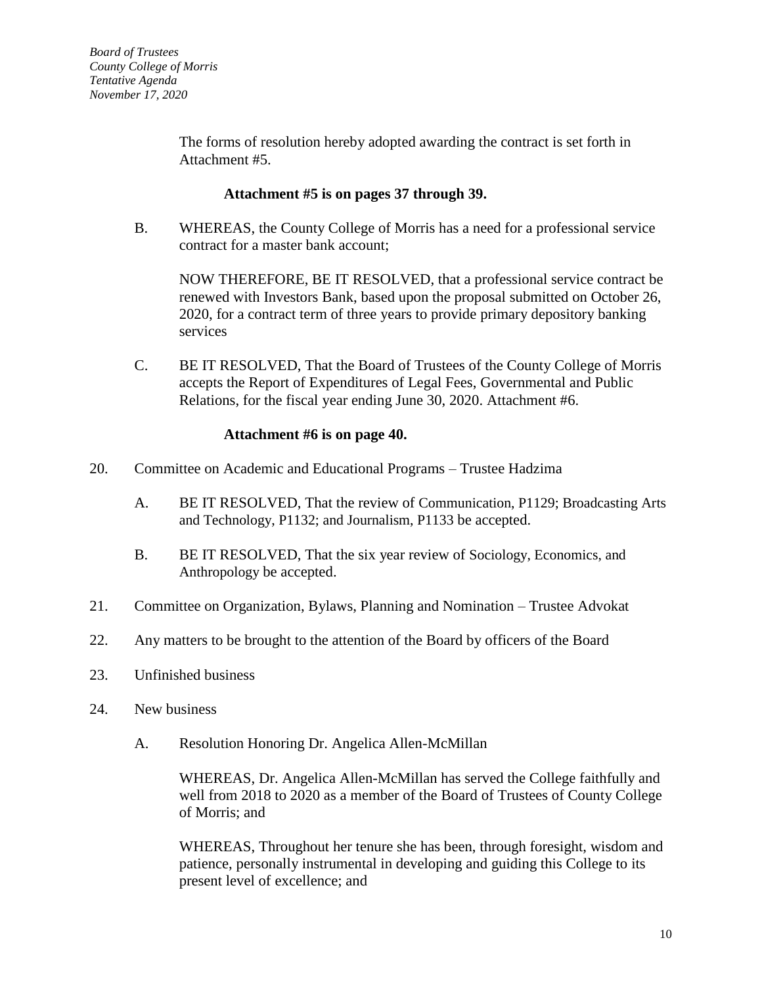The forms of resolution hereby adopted awarding the contract is set forth in Attachment #5.

#### **Attachment #5 is on pages 37 through 39.**

B. WHEREAS, the County College of Morris has a need for a professional service contract for a master bank account;

NOW THEREFORE, BE IT RESOLVED, that a professional service contract be renewed with Investors Bank, based upon the proposal submitted on October 26, 2020, for a contract term of three years to provide primary depository banking services

C. BE IT RESOLVED, That the Board of Trustees of the County College of Morris accepts the Report of Expenditures of Legal Fees, Governmental and Public Relations, for the fiscal year ending June 30, 2020. Attachment #6.

#### **Attachment #6 is on page 40.**

- 20. Committee on Academic and Educational Programs Trustee Hadzima
	- A. BE IT RESOLVED, That the review of Communication, P1129; Broadcasting Arts and Technology, P1132; and Journalism, P1133 be accepted.
	- B. BE IT RESOLVED, That the six year review of Sociology, Economics, and Anthropology be accepted.
- 21. Committee on Organization, Bylaws, Planning and Nomination Trustee Advokat
- 22. Any matters to be brought to the attention of the Board by officers of the Board
- 23. Unfinished business
- 24. New business
	- A. Resolution Honoring Dr. Angelica Allen-McMillan

WHEREAS, Dr. Angelica Allen-McMillan has served the College faithfully and well from 2018 to 2020 as a member of the Board of Trustees of County College of Morris; and

WHEREAS, Throughout her tenure she has been, through foresight, wisdom and patience, personally instrumental in developing and guiding this College to its present level of excellence; and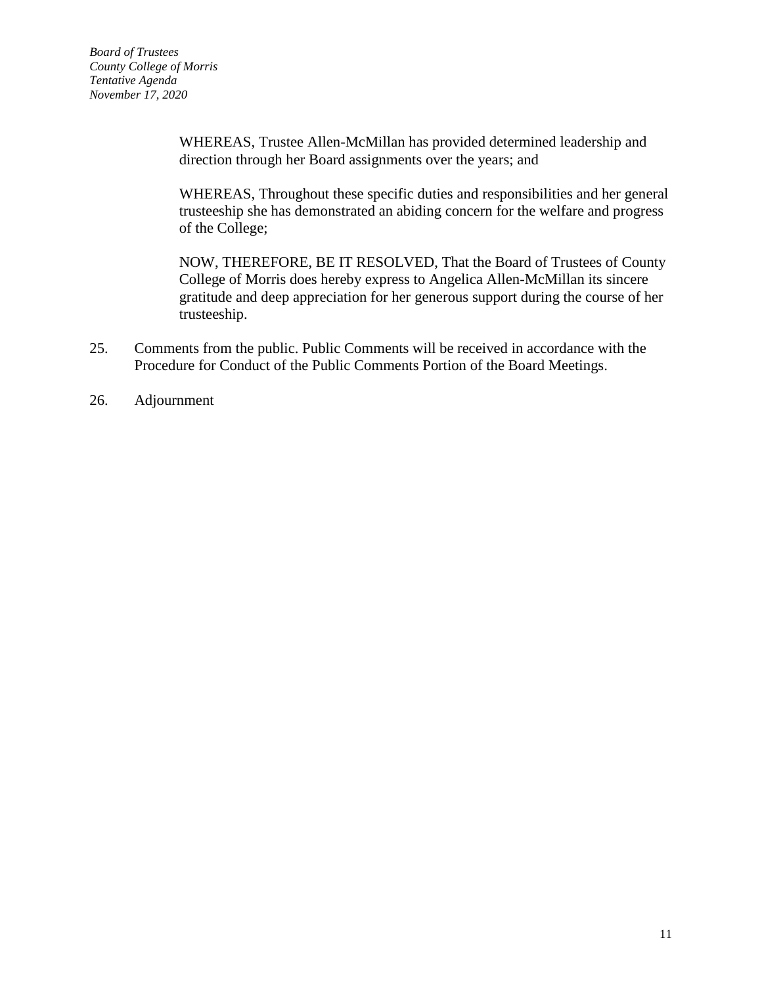WHEREAS, Trustee Allen-McMillan has provided determined leadership and direction through her Board assignments over the years; and

WHEREAS, Throughout these specific duties and responsibilities and her general trusteeship she has demonstrated an abiding concern for the welfare and progress of the College;

NOW, THEREFORE, BE IT RESOLVED, That the Board of Trustees of County College of Morris does hereby express to Angelica Allen-McMillan its sincere gratitude and deep appreciation for her generous support during the course of her trusteeship.

- 25. Comments from the public. Public Comments will be received in accordance with the Procedure for Conduct of the Public Comments Portion of the Board Meetings.
- 26. Adjournment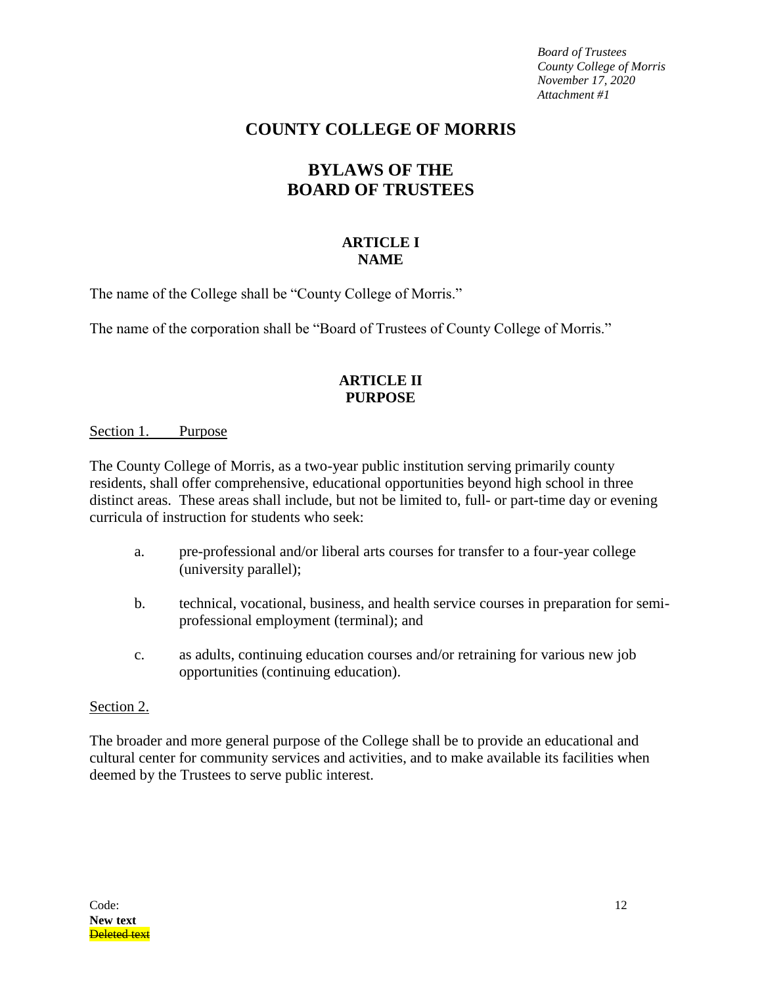## **COUNTY COLLEGE OF MORRIS**

## **BYLAWS OF THE BOARD OF TRUSTEES**

### **ARTICLE I NAME**

The name of the College shall be "County College of Morris."

The name of the corporation shall be "Board of Trustees of County College of Morris."

### **ARTICLE II PURPOSE**

Section 1. Purpose

The County College of Morris, as a two-year public institution serving primarily county residents, shall offer comprehensive, educational opportunities beyond high school in three distinct areas. These areas shall include, but not be limited to, full- or part-time day or evening curricula of instruction for students who seek:

- a. pre-professional and/or liberal arts courses for transfer to a four-year college (university parallel);
- b. technical, vocational, business, and health service courses in preparation for semiprofessional employment (terminal); and
- c. as adults, continuing education courses and/or retraining for various new job opportunities (continuing education).

#### Section 2.

The broader and more general purpose of the College shall be to provide an educational and cultural center for community services and activities, and to make available its facilities when deemed by the Trustees to serve public interest.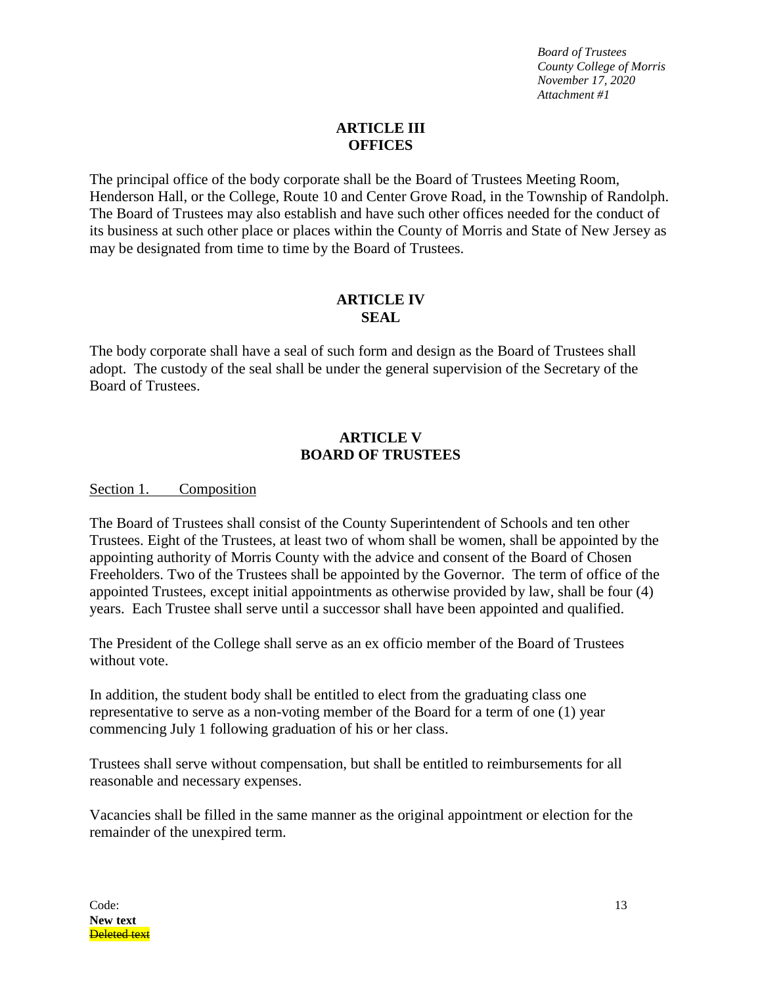#### **ARTICLE III OFFICES**

The principal office of the body corporate shall be the Board of Trustees Meeting Room, Henderson Hall, or the College, Route 10 and Center Grove Road, in the Township of Randolph. The Board of Trustees may also establish and have such other offices needed for the conduct of its business at such other place or places within the County of Morris and State of New Jersey as may be designated from time to time by the Board of Trustees.

#### **ARTICLE IV SEAL**

The body corporate shall have a seal of such form and design as the Board of Trustees shall adopt. The custody of the seal shall be under the general supervision of the Secretary of the Board of Trustees.

### **ARTICLE V BOARD OF TRUSTEES**

Section 1. Composition

The Board of Trustees shall consist of the County Superintendent of Schools and ten other Trustees. Eight of the Trustees, at least two of whom shall be women, shall be appointed by the appointing authority of Morris County with the advice and consent of the Board of Chosen Freeholders. Two of the Trustees shall be appointed by the Governor. The term of office of the appointed Trustees, except initial appointments as otherwise provided by law, shall be four (4) years. Each Trustee shall serve until a successor shall have been appointed and qualified.

The President of the College shall serve as an ex officio member of the Board of Trustees without vote.

In addition, the student body shall be entitled to elect from the graduating class one representative to serve as a non-voting member of the Board for a term of one (1) year commencing July 1 following graduation of his or her class.

Trustees shall serve without compensation, but shall be entitled to reimbursements for all reasonable and necessary expenses.

Vacancies shall be filled in the same manner as the original appointment or election for the remainder of the unexpired term.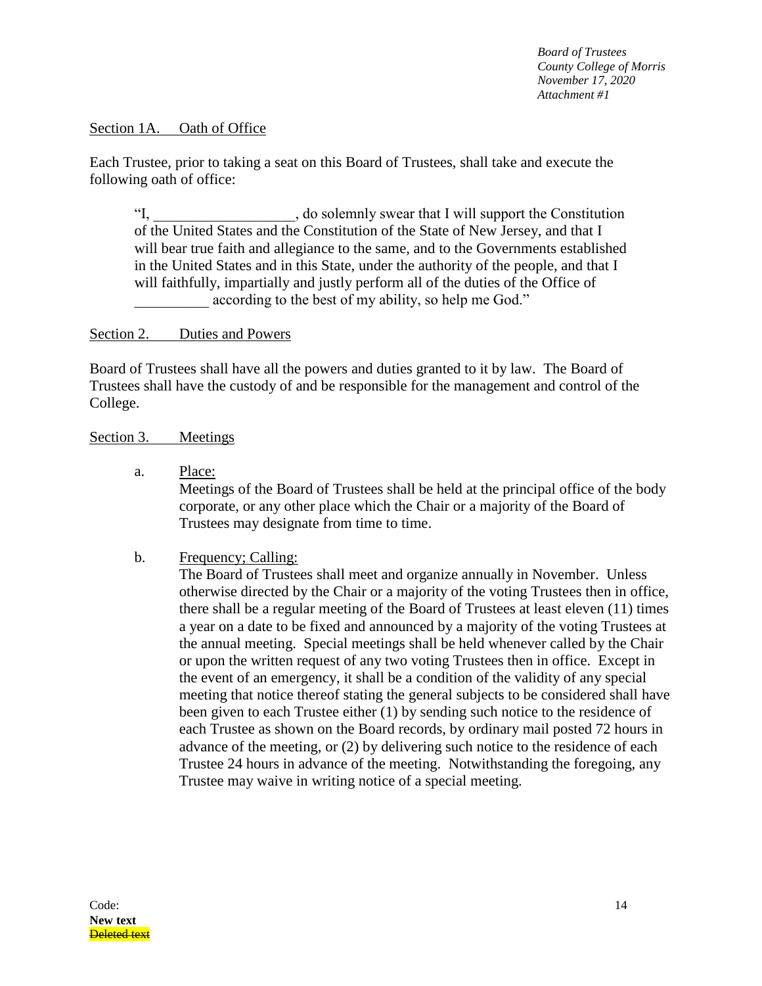#### Section 1A. Oath of Office

Each Trustee, prior to taking a seat on this Board of Trustees, shall take and execute the following oath of office:

"I, \_\_\_\_\_\_\_\_\_\_\_\_\_\_\_\_\_\_\_, do solemnly swear that I will support the Constitution of the United States and the Constitution of the State of New Jersey, and that I will bear true faith and allegiance to the same, and to the Governments established in the United States and in this State, under the authority of the people, and that I will faithfully, impartially and justly perform all of the duties of the Office of according to the best of my ability, so help me God."

#### Section 2. Duties and Powers

Board of Trustees shall have all the powers and duties granted to it by law. The Board of Trustees shall have the custody of and be responsible for the management and control of the College.

#### Section 3. Meetings

a. Place:

Meetings of the Board of Trustees shall be held at the principal office of the body corporate, or any other place which the Chair or a majority of the Board of Trustees may designate from time to time.

#### b. Frequency; Calling:

The Board of Trustees shall meet and organize annually in November. Unless otherwise directed by the Chair or a majority of the voting Trustees then in office, there shall be a regular meeting of the Board of Trustees at least eleven (11) times a year on a date to be fixed and announced by a majority of the voting Trustees at the annual meeting. Special meetings shall be held whenever called by the Chair or upon the written request of any two voting Trustees then in office. Except in the event of an emergency, it shall be a condition of the validity of any special meeting that notice thereof stating the general subjects to be considered shall have been given to each Trustee either (1) by sending such notice to the residence of each Trustee as shown on the Board records, by ordinary mail posted 72 hours in advance of the meeting, or (2) by delivering such notice to the residence of each Trustee 24 hours in advance of the meeting. Notwithstanding the foregoing, any Trustee may waive in writing notice of a special meeting.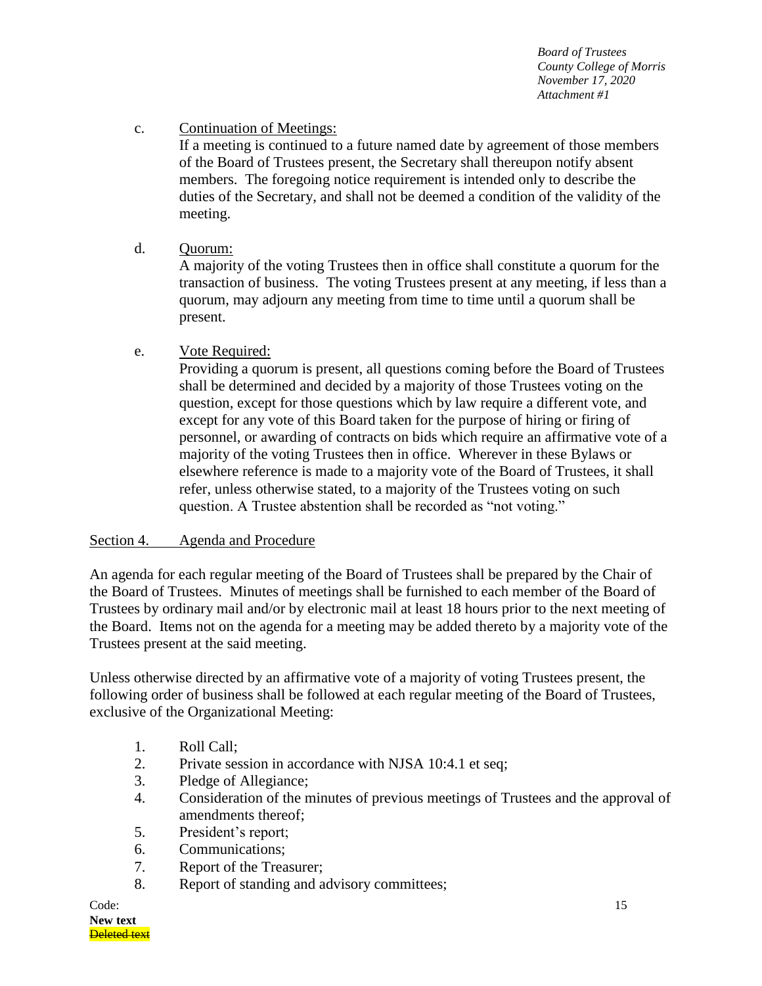c. Continuation of Meetings:

If a meeting is continued to a future named date by agreement of those members of the Board of Trustees present, the Secretary shall thereupon notify absent members. The foregoing notice requirement is intended only to describe the duties of the Secretary, and shall not be deemed a condition of the validity of the meeting.

d. Quorum:

A majority of the voting Trustees then in office shall constitute a quorum for the transaction of business. The voting Trustees present at any meeting, if less than a quorum, may adjourn any meeting from time to time until a quorum shall be present.

e. Vote Required:

Providing a quorum is present, all questions coming before the Board of Trustees shall be determined and decided by a majority of those Trustees voting on the question, except for those questions which by law require a different vote, and except for any vote of this Board taken for the purpose of hiring or firing of personnel, or awarding of contracts on bids which require an affirmative vote of a majority of the voting Trustees then in office. Wherever in these Bylaws or elsewhere reference is made to a majority vote of the Board of Trustees, it shall refer, unless otherwise stated, to a majority of the Trustees voting on such question. A Trustee abstention shall be recorded as "not voting."

#### Section 4. Agenda and Procedure

An agenda for each regular meeting of the Board of Trustees shall be prepared by the Chair of the Board of Trustees. Minutes of meetings shall be furnished to each member of the Board of Trustees by ordinary mail and/or by electronic mail at least 18 hours prior to the next meeting of the Board. Items not on the agenda for a meeting may be added thereto by a majority vote of the Trustees present at the said meeting.

Unless otherwise directed by an affirmative vote of a majority of voting Trustees present, the following order of business shall be followed at each regular meeting of the Board of Trustees, exclusive of the Organizational Meeting:

- 1. Roll Call;
- 2. Private session in accordance with NJSA 10:4.1 et seq;
- 3. Pledge of Allegiance;
- 4. Consideration of the minutes of previous meetings of Trustees and the approval of amendments thereof;
- 5. President's report;
- 6. Communications;
- 7. Report of the Treasurer;
- 8. Report of standing and advisory committees;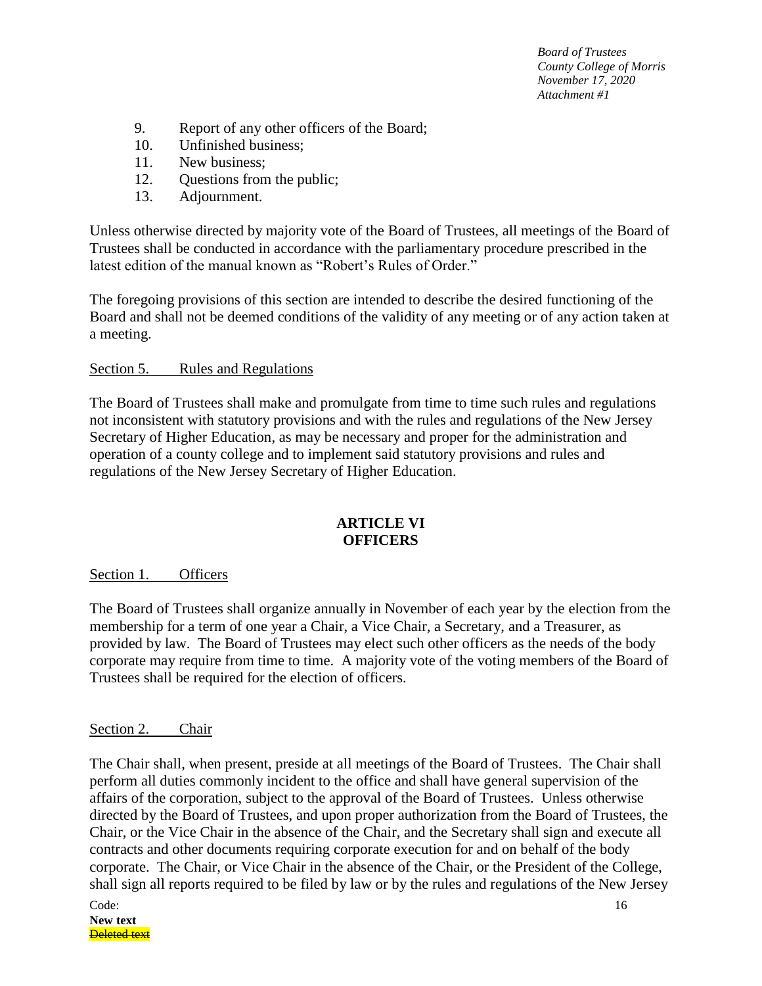- 9. Report of any other officers of the Board;
- 10. Unfinished business;
- 11. New business;
- 12. Questions from the public;
- 13. Adjournment.

Unless otherwise directed by majority vote of the Board of Trustees, all meetings of the Board of Trustees shall be conducted in accordance with the parliamentary procedure prescribed in the latest edition of the manual known as "Robert's Rules of Order."

The foregoing provisions of this section are intended to describe the desired functioning of the Board and shall not be deemed conditions of the validity of any meeting or of any action taken at a meeting.

#### Section 5. Rules and Regulations

The Board of Trustees shall make and promulgate from time to time such rules and regulations not inconsistent with statutory provisions and with the rules and regulations of the New Jersey Secretary of Higher Education, as may be necessary and proper for the administration and operation of a county college and to implement said statutory provisions and rules and regulations of the New Jersey Secretary of Higher Education.

### **ARTICLE VI OFFICERS**

#### Section 1. Officers

The Board of Trustees shall organize annually in November of each year by the election from the membership for a term of one year a Chair, a Vice Chair, a Secretary, and a Treasurer, as provided by law. The Board of Trustees may elect such other officers as the needs of the body corporate may require from time to time. A majority vote of the voting members of the Board of Trustees shall be required for the election of officers.

#### Section 2. Chair

The Chair shall, when present, preside at all meetings of the Board of Trustees. The Chair shall perform all duties commonly incident to the office and shall have general supervision of the affairs of the corporation, subject to the approval of the Board of Trustees. Unless otherwise directed by the Board of Trustees, and upon proper authorization from the Board of Trustees, the Chair, or the Vice Chair in the absence of the Chair, and the Secretary shall sign and execute all contracts and other documents requiring corporate execution for and on behalf of the body corporate. The Chair, or Vice Chair in the absence of the Chair, or the President of the College, shall sign all reports required to be filed by law or by the rules and regulations of the New Jersey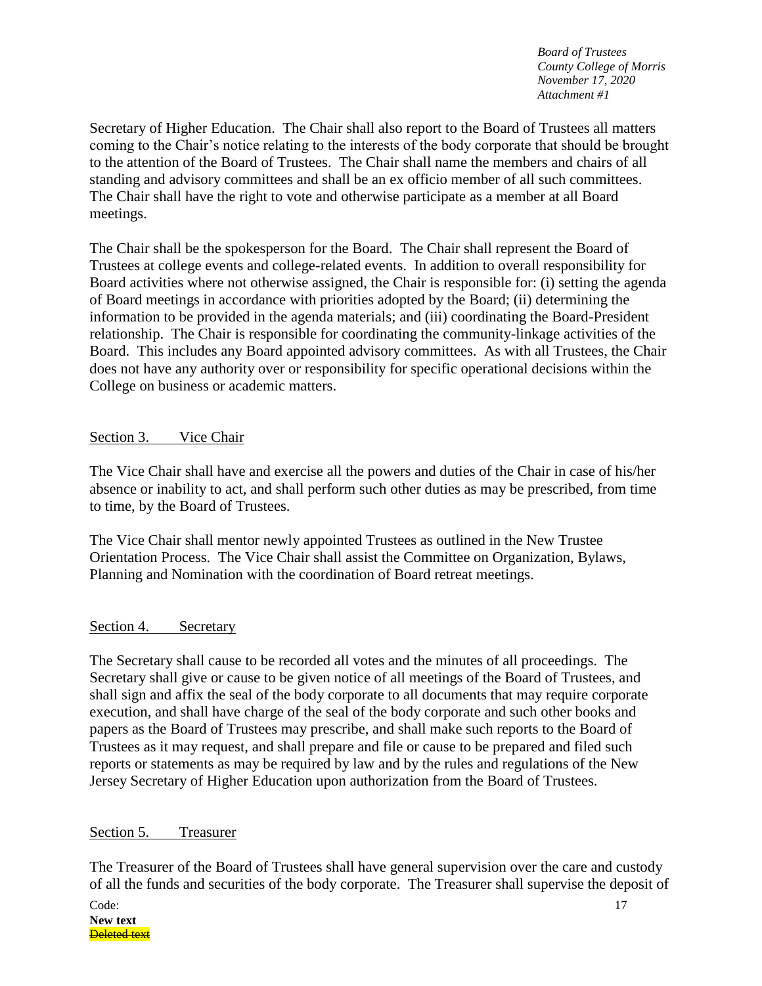Secretary of Higher Education. The Chair shall also report to the Board of Trustees all matters coming to the Chair's notice relating to the interests of the body corporate that should be brought to the attention of the Board of Trustees. The Chair shall name the members and chairs of all standing and advisory committees and shall be an ex officio member of all such committees. The Chair shall have the right to vote and otherwise participate as a member at all Board meetings.

The Chair shall be the spokesperson for the Board. The Chair shall represent the Board of Trustees at college events and college-related events. In addition to overall responsibility for Board activities where not otherwise assigned, the Chair is responsible for: (i) setting the agenda of Board meetings in accordance with priorities adopted by the Board; (ii) determining the information to be provided in the agenda materials; and (iii) coordinating the Board-President relationship. The Chair is responsible for coordinating the community-linkage activities of the Board. This includes any Board appointed advisory committees. As with all Trustees, the Chair does not have any authority over or responsibility for specific operational decisions within the College on business or academic matters.

### Section 3. Vice Chair

The Vice Chair shall have and exercise all the powers and duties of the Chair in case of his/her absence or inability to act, and shall perform such other duties as may be prescribed, from time to time, by the Board of Trustees.

The Vice Chair shall mentor newly appointed Trustees as outlined in the New Trustee Orientation Process. The Vice Chair shall assist the Committee on Organization, Bylaws, Planning and Nomination with the coordination of Board retreat meetings.

#### Section 4. Secretary

The Secretary shall cause to be recorded all votes and the minutes of all proceedings. The Secretary shall give or cause to be given notice of all meetings of the Board of Trustees, and shall sign and affix the seal of the body corporate to all documents that may require corporate execution, and shall have charge of the seal of the body corporate and such other books and papers as the Board of Trustees may prescribe, and shall make such reports to the Board of Trustees as it may request, and shall prepare and file or cause to be prepared and filed such reports or statements as may be required by law and by the rules and regulations of the New Jersey Secretary of Higher Education upon authorization from the Board of Trustees.

#### Section 5. Treasurer

The Treasurer of the Board of Trustees shall have general supervision over the care and custody of all the funds and securities of the body corporate. The Treasurer shall supervise the deposit of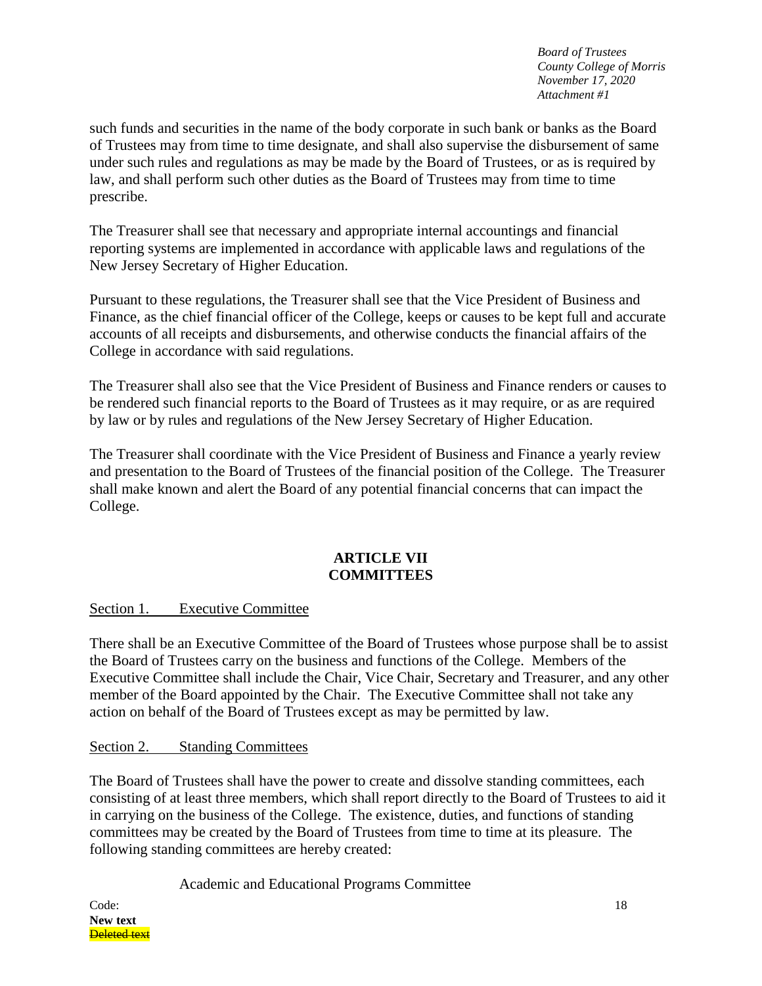such funds and securities in the name of the body corporate in such bank or banks as the Board of Trustees may from time to time designate, and shall also supervise the disbursement of same under such rules and regulations as may be made by the Board of Trustees, or as is required by law, and shall perform such other duties as the Board of Trustees may from time to time prescribe.

The Treasurer shall see that necessary and appropriate internal accountings and financial reporting systems are implemented in accordance with applicable laws and regulations of the New Jersey Secretary of Higher Education.

Pursuant to these regulations, the Treasurer shall see that the Vice President of Business and Finance, as the chief financial officer of the College, keeps or causes to be kept full and accurate accounts of all receipts and disbursements, and otherwise conducts the financial affairs of the College in accordance with said regulations.

The Treasurer shall also see that the Vice President of Business and Finance renders or causes to be rendered such financial reports to the Board of Trustees as it may require, or as are required by law or by rules and regulations of the New Jersey Secretary of Higher Education.

The Treasurer shall coordinate with the Vice President of Business and Finance a yearly review and presentation to the Board of Trustees of the financial position of the College. The Treasurer shall make known and alert the Board of any potential financial concerns that can impact the College.

#### **ARTICLE VII COMMITTEES**

### Section 1. Executive Committee

There shall be an Executive Committee of the Board of Trustees whose purpose shall be to assist the Board of Trustees carry on the business and functions of the College. Members of the Executive Committee shall include the Chair, Vice Chair, Secretary and Treasurer, and any other member of the Board appointed by the Chair. The Executive Committee shall not take any action on behalf of the Board of Trustees except as may be permitted by law.

#### Section 2. Standing Committees

The Board of Trustees shall have the power to create and dissolve standing committees, each consisting of at least three members, which shall report directly to the Board of Trustees to aid it in carrying on the business of the College. The existence, duties, and functions of standing committees may be created by the Board of Trustees from time to time at its pleasure. The following standing committees are hereby created:

Academic and Educational Programs Committee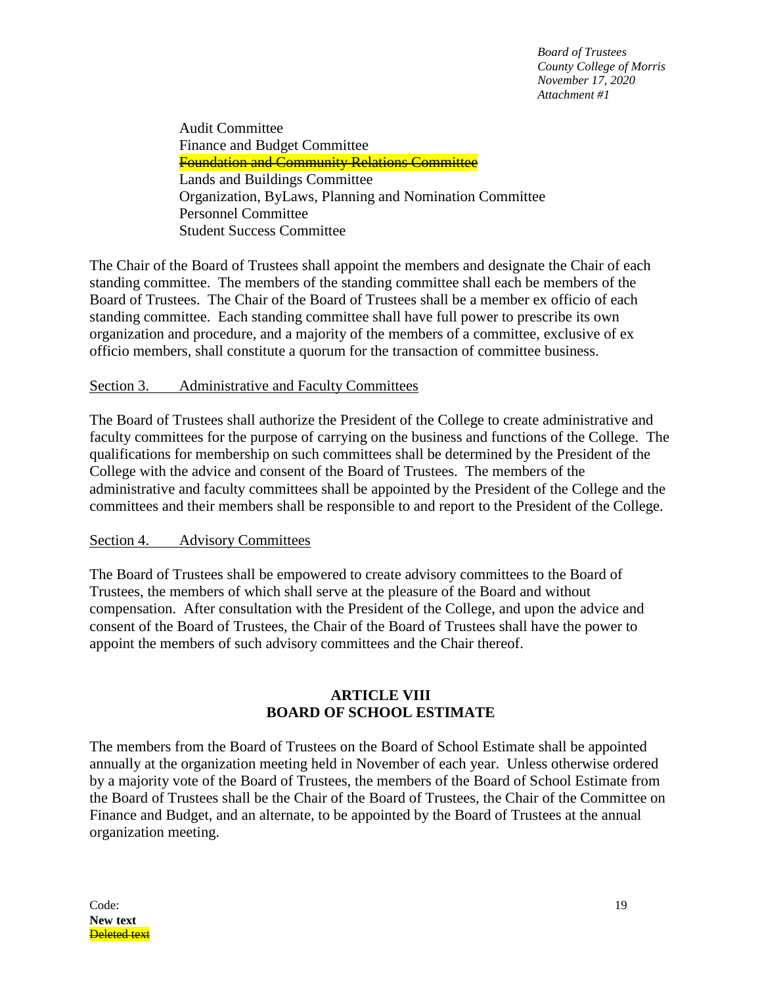Audit Committee Finance and Budget Committee Foundation and Community Relations Committee Lands and Buildings Committee Organization, ByLaws, Planning and Nomination Committee Personnel Committee Student Success Committee

The Chair of the Board of Trustees shall appoint the members and designate the Chair of each standing committee. The members of the standing committee shall each be members of the Board of Trustees. The Chair of the Board of Trustees shall be a member ex officio of each standing committee. Each standing committee shall have full power to prescribe its own organization and procedure, and a majority of the members of a committee, exclusive of ex officio members, shall constitute a quorum for the transaction of committee business.

### Section 3. Administrative and Faculty Committees

The Board of Trustees shall authorize the President of the College to create administrative and faculty committees for the purpose of carrying on the business and functions of the College. The qualifications for membership on such committees shall be determined by the President of the College with the advice and consent of the Board of Trustees. The members of the administrative and faculty committees shall be appointed by the President of the College and the committees and their members shall be responsible to and report to the President of the College.

#### Section 4. Advisory Committees

The Board of Trustees shall be empowered to create advisory committees to the Board of Trustees, the members of which shall serve at the pleasure of the Board and without compensation. After consultation with the President of the College, and upon the advice and consent of the Board of Trustees, the Chair of the Board of Trustees shall have the power to appoint the members of such advisory committees and the Chair thereof.

### **ARTICLE VIII BOARD OF SCHOOL ESTIMATE**

The members from the Board of Trustees on the Board of School Estimate shall be appointed annually at the organization meeting held in November of each year. Unless otherwise ordered by a majority vote of the Board of Trustees, the members of the Board of School Estimate from the Board of Trustees shall be the Chair of the Board of Trustees, the Chair of the Committee on Finance and Budget, and an alternate, to be appointed by the Board of Trustees at the annual organization meeting.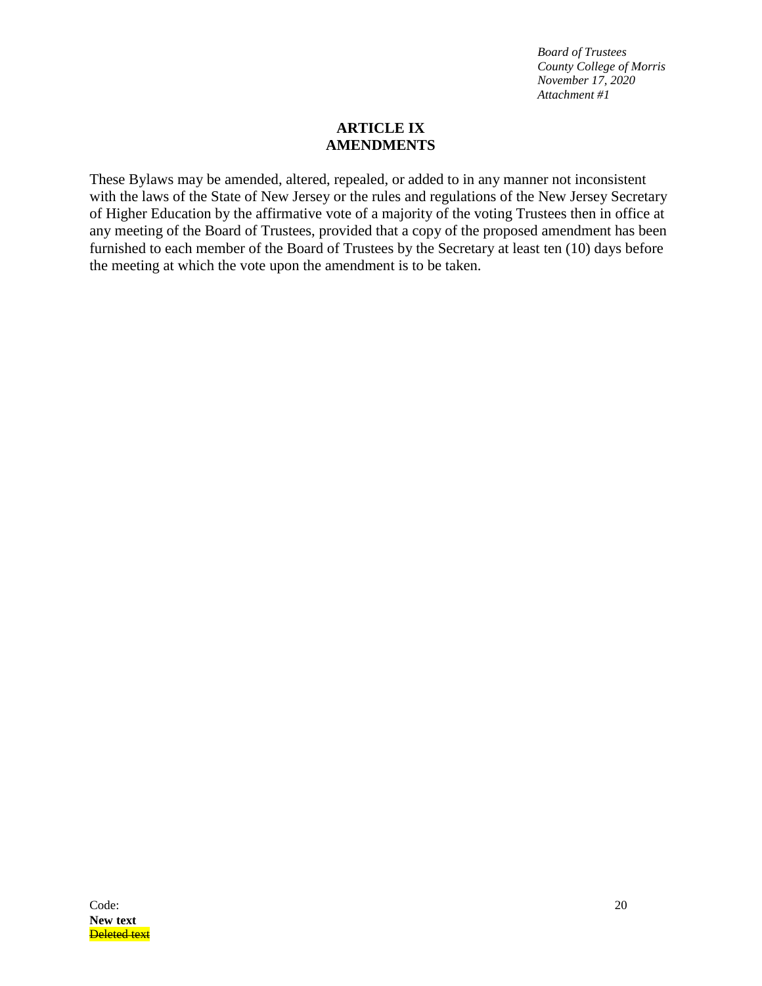#### **ARTICLE IX AMENDMENTS**

These Bylaws may be amended, altered, repealed, or added to in any manner not inconsistent with the laws of the State of New Jersey or the rules and regulations of the New Jersey Secretary of Higher Education by the affirmative vote of a majority of the voting Trustees then in office at any meeting of the Board of Trustees, provided that a copy of the proposed amendment has been furnished to each member of the Board of Trustees by the Secretary at least ten (10) days before the meeting at which the vote upon the amendment is to be taken.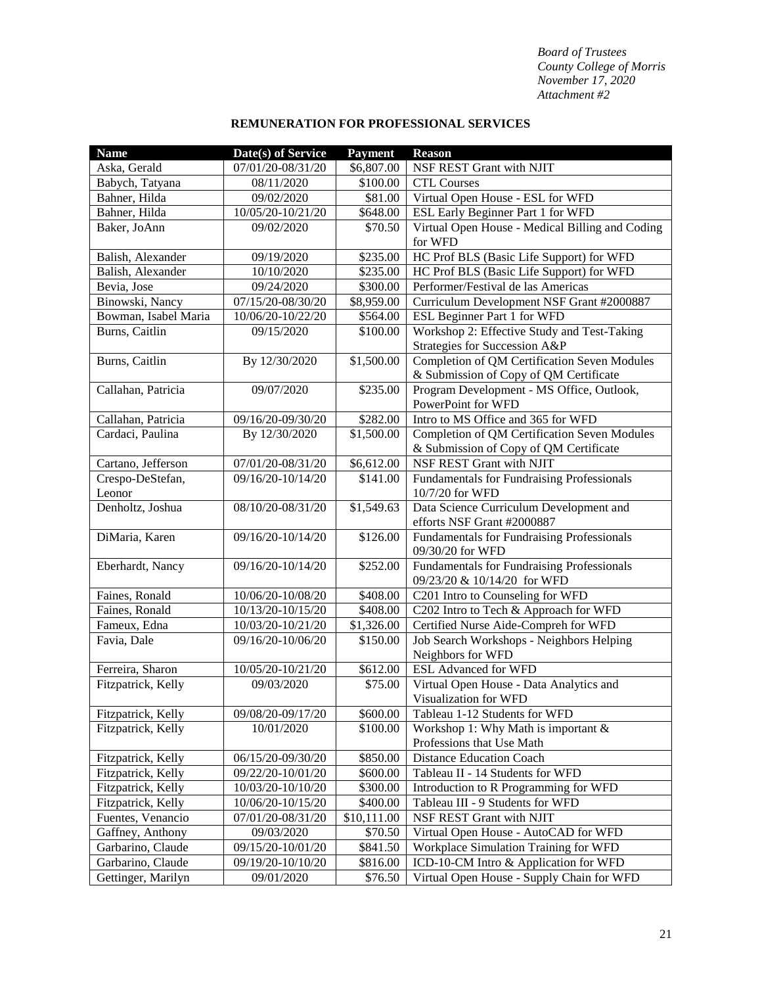### **REMUNERATION FOR PROFESSIONAL SERVICES**

| <b>Name</b>                    | Date(s) of Service                     | <b>Payment</b>      | <b>Reason</b>                                                 |  |
|--------------------------------|----------------------------------------|---------------------|---------------------------------------------------------------|--|
| Aska, Gerald                   | 07/01/20-08/31/20                      | \$6,807.00          | NSF REST Grant with NJIT                                      |  |
| Babych, Tatyana                | 08/11/2020                             | \$100.00            | <b>CTL Courses</b>                                            |  |
| Bahner, Hilda                  | 09/02/2020                             | $\overline{$81.00}$ | Virtual Open House - ESL for WFD                              |  |
| Bahner, Hilda                  | 10/05/20-10/21/20                      | \$648.00            | ESL Early Beginner Part 1 for WFD                             |  |
| Baker, JoAnn                   | 09/02/2020                             | \$70.50             | Virtual Open House - Medical Billing and Coding               |  |
|                                |                                        |                     | for WFD                                                       |  |
| Balish, Alexander              | 09/19/2020                             | \$235.00            | HC Prof BLS (Basic Life Support) for WFD                      |  |
| Balish, Alexander              | 10/10/2020                             | \$235.00            | HC Prof BLS (Basic Life Support) for WFD                      |  |
| Bevia, Jose                    | 09/24/2020                             | \$300.00            | Performer/Festival de las Americas                            |  |
| Binowski, Nancy                | 07/15/20-08/30/20                      | \$8,959.00          | Curriculum Development NSF Grant #2000887                     |  |
| Bowman, Isabel Maria           | 10/06/20-10/22/20                      | \$564.00            | ESL Beginner Part 1 for WFD                                   |  |
| Burns, Caitlin                 | 09/15/2020                             | \$100.00            | Workshop 2: Effective Study and Test-Taking                   |  |
|                                |                                        |                     | Strategies for Succession A&P                                 |  |
| Burns, Caitlin                 | By 12/30/2020                          | \$1,500.00          | Completion of QM Certification Seven Modules                  |  |
|                                |                                        |                     | & Submission of Copy of QM Certificate                        |  |
| Callahan, Patricia             | 09/07/2020                             | \$235.00            | Program Development - MS Office, Outlook,                     |  |
|                                |                                        |                     | PowerPoint for WFD                                            |  |
| Callahan, Patricia             | 09/16/20-09/30/20                      | \$282.00            | Intro to MS Office and 365 for WFD                            |  |
| Cardaci, Paulina               | By 12/30/2020                          | \$1,500.00          | Completion of QM Certification Seven Modules                  |  |
|                                |                                        |                     | & Submission of Copy of QM Certificate                        |  |
| Cartano, Jefferson             | 07/01/20-08/31/20                      | \$6,612.00          | NSF REST Grant with NJIT                                      |  |
| Crespo-DeStefan,               | 09/16/20-10/14/20                      | \$141.00            | Fundamentals for Fundraising Professionals                    |  |
| Leonor                         |                                        |                     | 10/7/20 for WFD                                               |  |
| Denholtz, Joshua               | 08/10/20-08/31/20                      | \$1,549.63          | Data Science Curriculum Development and                       |  |
|                                |                                        |                     | efforts NSF Grant #2000887                                    |  |
| DiMaria, Karen                 | 09/16/20-10/14/20                      | \$126.00            | Fundamentals for Fundraising Professionals                    |  |
|                                |                                        |                     | 09/30/20 for WFD                                              |  |
| Eberhardt, Nancy               | 09/16/20-10/14/20                      | \$252.00            | Fundamentals for Fundraising Professionals                    |  |
|                                |                                        |                     | 09/23/20 & 10/14/20 for WFD                                   |  |
| Faines, Ronald                 | 10/06/20-10/08/20                      | \$408.00            | C201 Intro to Counseling for WFD                              |  |
| Faines, Ronald<br>Fameux, Edna | 10/13/20-10/15/20                      | \$408.00            | C202 Intro to Tech & Approach for WFD                         |  |
|                                | 10/03/20-10/21/20<br>09/16/20-10/06/20 | \$1,326.00          | Certified Nurse Aide-Compreh for WFD                          |  |
| Favia, Dale                    |                                        | \$150.00            | Job Search Workshops - Neighbors Helping<br>Neighbors for WFD |  |
| Ferreira, Sharon               | 10/05/20-10/21/20                      | \$612.00            | <b>ESL</b> Advanced for WFD                                   |  |
| Fitzpatrick, Kelly             | 09/03/2020                             | \$75.00             | Virtual Open House - Data Analytics and                       |  |
|                                |                                        |                     | Visualization for WFD                                         |  |
| Fitzpatrick, Kelly             | 09/08/20-09/17/20                      | \$600.00            | Tableau 1-12 Students for WFD                                 |  |
| Fitzpatrick, Kelly             | 10/01/2020                             | \$100.00            | Workshop 1: Why Math is important $&$                         |  |
|                                |                                        |                     | Professions that Use Math                                     |  |
| Fitzpatrick, Kelly             | 06/15/20-09/30/20                      | \$850.00            | <b>Distance Education Coach</b>                               |  |
| Fitzpatrick, Kelly             | 09/22/20-10/01/20                      | \$600.00            | Tableau II - 14 Students for WFD                              |  |
| Fitzpatrick, Kelly             | 10/03/20-10/10/20                      | \$300.00            | Introduction to R Programming for WFD                         |  |
| Fitzpatrick, Kelly             | 10/06/20-10/15/20                      | \$400.00            | Tableau III - 9 Students for WFD                              |  |
| Fuentes, Venancio              | 07/01/20-08/31/20                      | \$10,111.00         | NSF REST Grant with NJIT                                      |  |
| Gaffney, Anthony               | 09/03/2020                             | \$70.50             | Virtual Open House - AutoCAD for WFD                          |  |
| Garbarino, Claude              | 09/15/20-10/01/20                      | \$841.50            | Workplace Simulation Training for WFD                         |  |
| Garbarino, Claude              | 09/19/20-10/10/20                      | \$816.00            | ICD-10-CM Intro & Application for WFD                         |  |
| Gettinger, Marilyn             | 09/01/2020                             | \$76.50             | Virtual Open House - Supply Chain for WFD                     |  |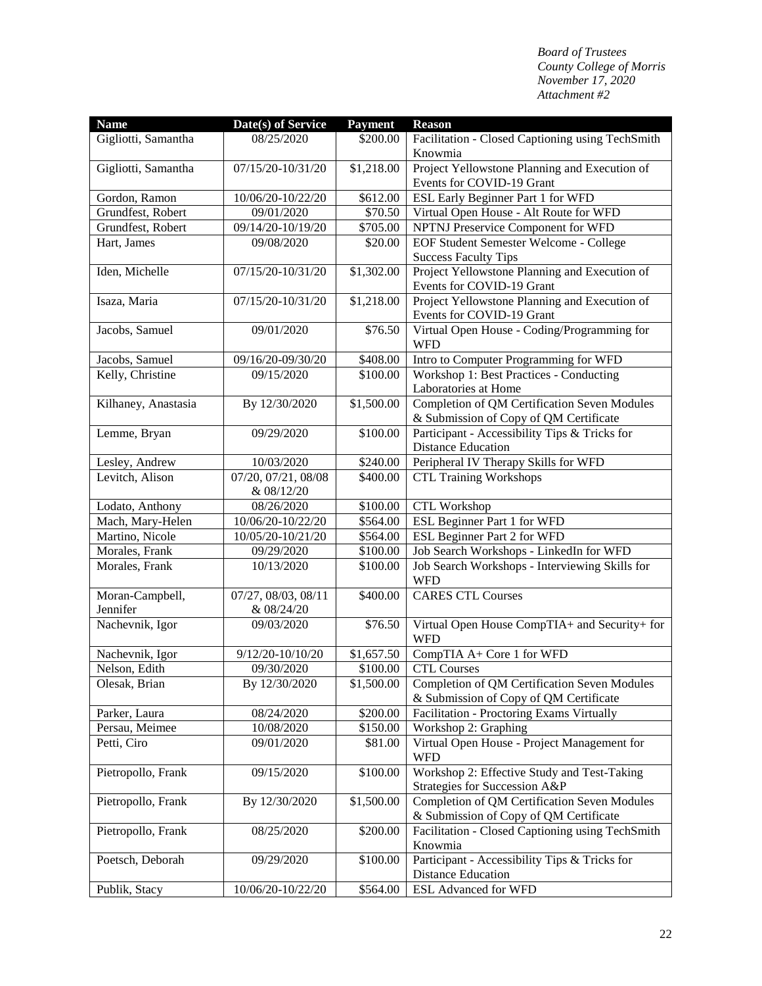| <b>Name</b>         | Date(s) of Service  | <b>Payment</b>         | <b>Reason</b>                                                            |  |
|---------------------|---------------------|------------------------|--------------------------------------------------------------------------|--|
| Gigliotti, Samantha | 08/25/2020          | \$200.00               | Facilitation - Closed Captioning using TechSmith                         |  |
|                     |                     |                        | Knowmia                                                                  |  |
| Gigliotti, Samantha | 07/15/20-10/31/20   | \$1,218.00             | Project Yellowstone Planning and Execution of                            |  |
|                     |                     |                        | Events for COVID-19 Grant                                                |  |
| Gordon, Ramon       | 10/06/20-10/22/20   | \$612.00               | <b>ESL Early Beginner Part 1 for WFD</b>                                 |  |
| Grundfest, Robert   | 09/01/2020          | \$70.50                | Virtual Open House - Alt Route for WFD                                   |  |
| Grundfest, Robert   | 09/14/20-10/19/20   | \$705.00               | NPTNJ Preservice Component for WFD                                       |  |
| Hart, James         | 09/08/2020          | \$20.00                | EOF Student Semester Welcome - College                                   |  |
|                     |                     |                        | <b>Success Faculty Tips</b>                                              |  |
| Iden, Michelle      | 07/15/20-10/31/20   | $\overline{$1,302.00}$ | Project Yellowstone Planning and Execution of                            |  |
|                     |                     |                        | Events for COVID-19 Grant                                                |  |
| Isaza, Maria        | 07/15/20-10/31/20   | \$1,218.00             | Project Yellowstone Planning and Execution of                            |  |
| Jacobs, Samuel      | 09/01/2020          | $\overline{$}76.50$    | Events for COVID-19 Grant<br>Virtual Open House - Coding/Programming for |  |
|                     |                     |                        | <b>WFD</b>                                                               |  |
| Jacobs, Samuel      | 09/16/20-09/30/20   | \$408.00               | Intro to Computer Programming for WFD                                    |  |
| Kelly, Christine    | 09/15/2020          | \$100.00               | Workshop 1: Best Practices - Conducting                                  |  |
|                     |                     |                        | Laboratories at Home                                                     |  |
| Kilhaney, Anastasia | By 12/30/2020       | \$1,500.00             | <b>Completion of QM Certification Seven Modules</b>                      |  |
|                     |                     |                        | & Submission of Copy of QM Certificate                                   |  |
| Lemme, Bryan        | 09/29/2020          | \$100.00               | Participant - Accessibility Tips & Tricks for                            |  |
|                     |                     |                        | <b>Distance Education</b>                                                |  |
| Lesley, Andrew      | 10/03/2020          | \$240.00               | Peripheral IV Therapy Skills for WFD                                     |  |
| Levitch, Alison     | 07/20, 07/21, 08/08 | \$400.00               | <b>CTL Training Workshops</b>                                            |  |
|                     | & 08/12/20          |                        |                                                                          |  |
| Lodato, Anthony     | 08/26/2020          | \$100.00               | <b>CTL Workshop</b>                                                      |  |
| Mach, Mary-Helen    | 10/06/20-10/22/20   | \$564.00               | ESL Beginner Part 1 for WFD                                              |  |
| Martino, Nicole     | 10/05/20-10/21/20   | \$564.00               | ESL Beginner Part 2 for WFD                                              |  |
| Morales, Frank      | 09/29/2020          | \$100.00               | Job Search Workshops - LinkedIn for WFD                                  |  |
| Morales, Frank      | 10/13/2020          | \$100.00               | Job Search Workshops - Interviewing Skills for                           |  |
|                     |                     |                        | <b>WFD</b>                                                               |  |
| Moran-Campbell,     | 07/27, 08/03, 08/11 | \$400.00               | <b>CARES CTL Courses</b>                                                 |  |
| Jennifer            | & 08/24/20          |                        |                                                                          |  |
| Nachevnik, Igor     | 09/03/2020          | \$76.50                | Virtual Open House CompTIA+ and Security+ for                            |  |
|                     |                     |                        | <b>WFD</b>                                                               |  |
| Nachevnik, Igor     | 9/12/20-10/10/20    | \$1,657.50             | CompTIA A+ Core 1 for WFD                                                |  |
| Nelson, Edith       | 09/30/2020          | \$100.00               | <b>CTL Courses</b>                                                       |  |
| Olesak, Brian       | By 12/30/2020       | \$1,500.00             | Completion of QM Certification Seven Modules                             |  |
|                     |                     |                        | & Submission of Copy of QM Certificate                                   |  |
| Parker, Laura       | 08/24/2020          | \$200.00               | Facilitation - Proctoring Exams Virtually                                |  |
| Persau, Meimee      | 10/08/2020          | \$150.00               | Workshop 2: Graphing                                                     |  |
| Petti, Ciro         | 09/01/2020          | \$81.00                | Virtual Open House - Project Management for                              |  |
|                     |                     |                        | <b>WFD</b>                                                               |  |
| Pietropollo, Frank  | 09/15/2020          | \$100.00               | Workshop 2: Effective Study and Test-Taking                              |  |
|                     |                     |                        | Strategies for Succession A&P                                            |  |
| Pietropollo, Frank  | By 12/30/2020       | \$1,500.00             | Completion of QM Certification Seven Modules                             |  |
|                     |                     |                        | & Submission of Copy of QM Certificate                                   |  |
| Pietropollo, Frank  | 08/25/2020          | \$200.00               | Facilitation - Closed Captioning using TechSmith                         |  |
|                     |                     |                        | Knowmia                                                                  |  |
| Poetsch, Deborah    | 09/29/2020          | \$100.00               | Participant - Accessibility Tips & Tricks for                            |  |
|                     |                     |                        | <b>Distance Education</b>                                                |  |
| Publik, Stacy       | 10/06/20-10/22/20   | \$564.00               | <b>ESL Advanced for WFD</b>                                              |  |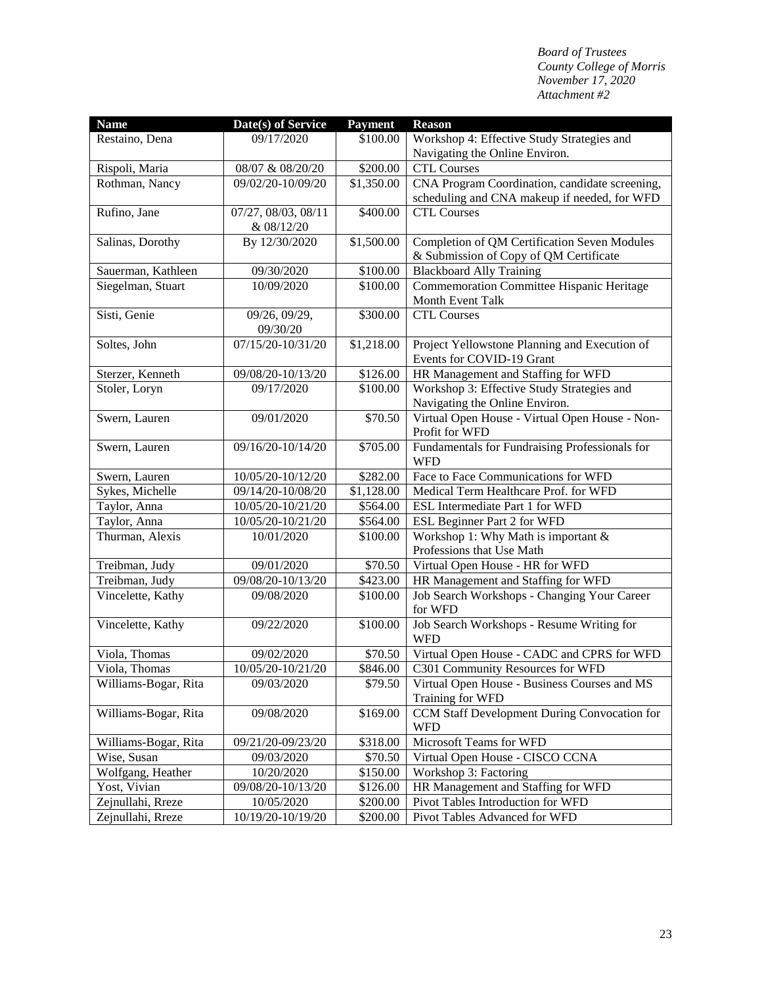| <b>Name</b>          | Date(s) of Service  | <b>Payment</b>         | <b>Reason</b>                                       |
|----------------------|---------------------|------------------------|-----------------------------------------------------|
| Restaino, Dena       | 09/17/2020          | \$100.00               | Workshop 4: Effective Study Strategies and          |
|                      |                     |                        | Navigating the Online Environ.                      |
| Rispoli, Maria       | 08/07 & 08/20/20    | \$200.00               | <b>CTL Courses</b>                                  |
| Rothman, Nancy       | 09/02/20-10/09/20   | $\overline{$1,350.00}$ | CNA Program Coordination, candidate screening,      |
|                      |                     |                        | scheduling and CNA makeup if needed, for WFD        |
| Rufino, Jane         | 07/27, 08/03, 08/11 | \$400.00               | <b>CTL Courses</b>                                  |
|                      | & 08/12/20          |                        |                                                     |
| Salinas, Dorothy     | By 12/30/2020       | $\overline{$}1,500.00$ | <b>Completion of QM Certification Seven Modules</b> |
|                      |                     |                        | & Submission of Copy of QM Certificate              |
| Sauerman, Kathleen   | 09/30/2020          | $\sqrt{$100.00}$       | <b>Blackboard Ally Training</b>                     |
| Siegelman, Stuart    | 10/09/2020          | \$100.00               | <b>Commemoration Committee Hispanic Heritage</b>    |
|                      |                     |                        | Month Event Talk                                    |
| Sisti, Genie         | 09/26, 09/29,       | \$300.00               | <b>CTL Courses</b>                                  |
|                      | 09/30/20            |                        |                                                     |
| Soltes, John         | 07/15/20-10/31/20   | $\overline{$}1,218.00$ | Project Yellowstone Planning and Execution of       |
|                      |                     |                        | Events for COVID-19 Grant                           |
| Sterzer, Kenneth     | 09/08/20-10/13/20   | \$126.00               | HR Management and Staffing for WFD                  |
| Stoler, Loryn        | 09/17/2020          | \$100.00               | Workshop 3: Effective Study Strategies and          |
|                      |                     |                        | Navigating the Online Environ.                      |
| Swern, Lauren        | 09/01/2020          | \$70.50                | Virtual Open House - Virtual Open House - Non-      |
|                      |                     |                        | Profit for WFD                                      |
| Swern, Lauren        | 09/16/20-10/14/20   | \$705.00               | Fundamentals for Fundraising Professionals for      |
|                      |                     |                        | <b>WFD</b>                                          |
| Swern, Lauren        | 10/05/20-10/12/20   | \$282.00               | Face to Face Communications for WFD                 |
| Sykes, Michelle      | 09/14/20-10/08/20   | \$1,128.00             | Medical Term Healthcare Prof. for WFD               |
| Taylor, Anna         | 10/05/20-10/21/20   | \$564.00               | ESL Intermediate Part 1 for WFD                     |
| Taylor, Anna         | 10/05/20-10/21/20   | \$564.00               | ESL Beginner Part 2 for WFD                         |
| Thurman, Alexis      | 10/01/2020          | \$100.00               | Workshop 1: Why Math is important &                 |
|                      |                     |                        | Professions that Use Math                           |
| Treibman, Judy       | 09/01/2020          | \$70.50                | Virtual Open House - HR for WFD                     |
| Treibman, Judy       | 09/08/20-10/13/20   | \$423.00               | HR Management and Staffing for WFD                  |
| Vincelette, Kathy    | 09/08/2020          | \$100.00               | Job Search Workshops - Changing Your Career         |
|                      |                     |                        | for WFD                                             |
| Vincelette, Kathy    | 09/22/2020          | \$100.00               | Job Search Workshops - Resume Writing for           |
|                      |                     |                        | <b>WFD</b>                                          |
| Viola, Thomas        | 09/02/2020          | \$70.50                | Virtual Open House - CADC and CPRS for WFD          |
| Viola, Thomas        | 10/05/20-10/21/20   | \$846.00               | C301 Community Resources for WFD                    |
| Williams-Bogar, Rita | 09/03/2020          | \$79.50                | Virtual Open House - Business Courses and MS        |
|                      |                     |                        | Training for WFD                                    |
| Williams-Bogar, Rita | 09/08/2020          | \$169.00               | CCM Staff Development During Convocation for        |
|                      |                     |                        | <b>WFD</b>                                          |
| Williams-Bogar, Rita | 09/21/20-09/23/20   | \$318.00               | Microsoft Teams for WFD                             |
| Wise, Susan          | 09/03/2020          | \$70.50                | Virtual Open House - CISCO CCNA                     |
| Wolfgang, Heather    | 10/20/2020          | \$150.00               | Workshop 3: Factoring                               |
| Yost, Vivian         | 09/08/20-10/13/20   | \$126.00               | HR Management and Staffing for WFD                  |
| Zejnullahi, Rreze    | 10/05/2020          | \$200.00               | Pivot Tables Introduction for WFD                   |
| Zejnullahi, Rreze    | 10/19/20-10/19/20   | \$200.00               | Pivot Tables Advanced for WFD                       |
|                      |                     |                        |                                                     |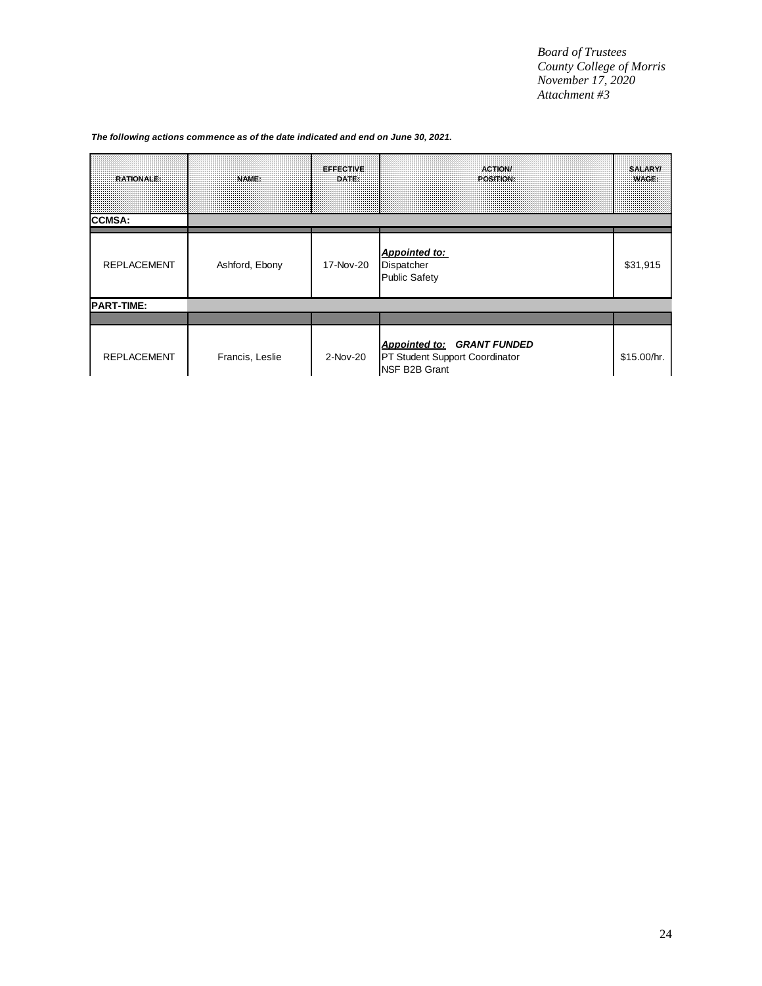| <b>RATIONALE:</b>  | NAME:           | <b>EFFECTIVE</b><br>DATE: | ,,,,,,,,,,,,,,,,,,,,,,,,,,,,,,,,,,,<br><b>ACTION/</b><br>POSITION:                   | <b>SALARY/</b><br><b>WAGE:</b> |
|--------------------|-----------------|---------------------------|--------------------------------------------------------------------------------------|--------------------------------|
| <b>CCMSA:</b>      |                 |                           |                                                                                      |                                |
| <b>REPLACEMENT</b> | Ashford, Ebony  | 17-Nov-20                 | <b>Appointed to:</b><br>Dispatcher<br><b>Public Safety</b>                           | \$31,915                       |
| <b>PART-TIME:</b>  |                 |                           |                                                                                      |                                |
|                    |                 |                           |                                                                                      |                                |
| <b>REPLACEMENT</b> | Francis, Leslie | 2-Nov-20                  | <b>Appointed to: GRANT FUNDED</b><br>PT Student Support Coordinator<br>NSF B2B Grant | \$15.00/hr.                    |

*The following actions commence as of the date indicated and end on June 30, 2021.*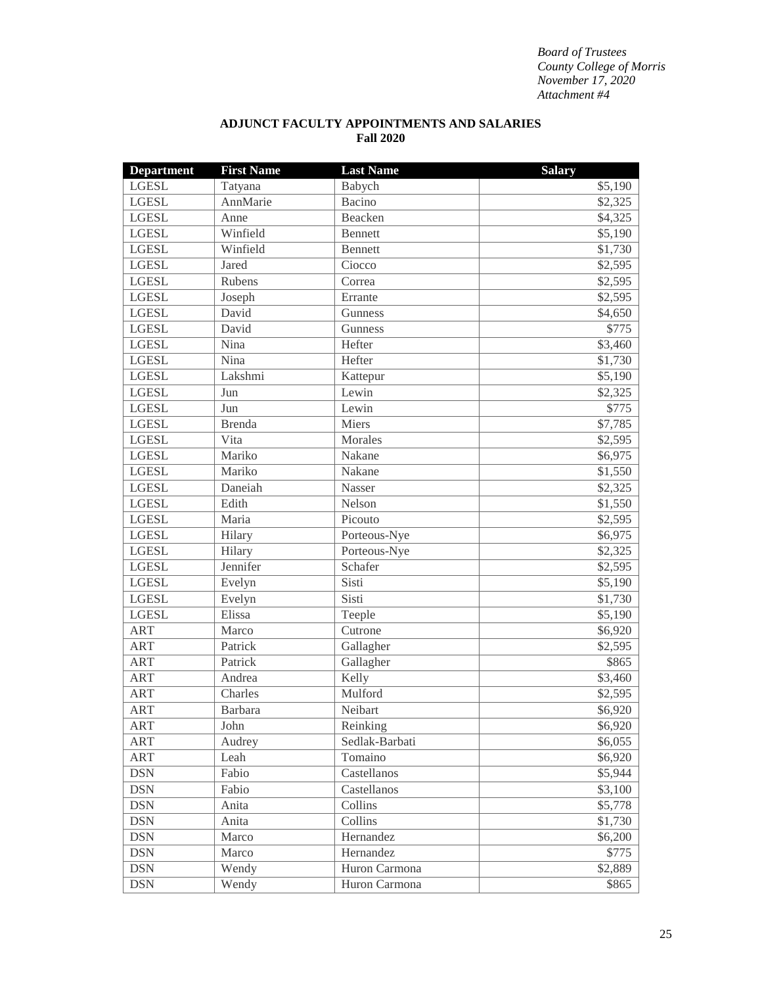#### **ADJUNCT FACULTY APPOINTMENTS AND SALARIES Fall 2020**

| <b>Department</b> | <b>First Name</b> | <b>Last Name</b> | <b>Salary</b>       |
|-------------------|-------------------|------------------|---------------------|
| <b>LGESL</b>      | Tatyana           | Babych           | \$5,190             |
| <b>LGESL</b>      | AnnMarie          | <b>Bacino</b>    | \$2,325             |
| <b>LGESL</b>      | Anne              | Beacken          | \$4,325             |
| <b>LGESL</b>      | Winfield          | <b>Bennett</b>   | \$5,190             |
| <b>LGESL</b>      | Winfield          | <b>Bennett</b>   | \$1,730             |
| <b>LGESL</b>      | Jared             | Ciocco           | \$2,595             |
| <b>LGESL</b>      | Rubens            | Correa           | \$2,595             |
| <b>LGESL</b>      | Joseph            | Errante          | \$2,595             |
| <b>LGESL</b>      | David             | Gunness          | \$4,650             |
| <b>LGESL</b>      | David             | Gunness          | \$775               |
| <b>LGESL</b>      | Nina              | Hefter           | \$3,460             |
| <b>LGESL</b>      | Nina              | Hefter           | \$1,730             |
| <b>LGESL</b>      | Lakshmi           | Kattepur         | \$5,190             |
| <b>LGESL</b>      | Jun               | Lewin            | \$2,325             |
| <b>LGESL</b>      | Jun               | Lewin            | \$775               |
| <b>LGESL</b>      | <b>Brenda</b>     | Miers            | \$7,785             |
| <b>LGESL</b>      | Vita              | Morales          | \$2,595             |
| <b>LGESL</b>      | Mariko            | Nakane           | \$6,975             |
| <b>LGESL</b>      | Mariko            | Nakane           | \$1,550             |
| <b>LGESL</b>      | Daneiah           | Nasser           | \$2,325             |
| <b>LGESL</b>      | Edith             | Nelson           | \$1,550             |
| <b>LGESL</b>      | Maria             | Picouto          | \$2,595             |
| <b>LGESL</b>      | Hilary            | Porteous-Nye     | \$6,975             |
| <b>LGESL</b>      | Hilary            | Porteous-Nye     | \$2,325             |
| <b>LGESL</b>      | Jennifer          | Schafer          | \$2,595             |
| <b>LGESL</b>      | Evelyn            | Sisti            | \$5,190             |
| <b>LGESL</b>      | Evelyn            | Sisti            | \$1,730             |
| <b>LGESL</b>      | Elissa            | Teeple           | $\overline{$}5,190$ |
| ART               | Marco             | Cutrone          | \$6,920             |
| <b>ART</b>        | Patrick           | Gallagher        | \$2,595             |
| <b>ART</b>        | Patrick           | Gallagher        | \$865               |
| <b>ART</b>        | Andrea            | Kelly            | \$3,460             |
| <b>ART</b>        | Charles           | Mulford          | \$2,595             |
| <b>ART</b>        | <b>Barbara</b>    | Neibart          | \$6,920             |
| <b>ART</b>        | John              | Reinking         | \$6,920             |
| <b>ART</b>        | Audrey            | Sedlak-Barbati   | \$6,055             |
| <b>ART</b>        | Leah              | Tomaino          | \$6,920             |
| <b>DSN</b>        | Fabio             | Castellanos      | \$5,944             |
| <b>DSN</b>        | Fabio             | Castellanos      | \$3,100             |
| <b>DSN</b>        | Anita             | Collins          | \$5,778             |
| <b>DSN</b>        | Anita             | Collins          | \$1,730             |
| <b>DSN</b>        | Marco             | Hernandez        | \$6,200             |
| <b>DSN</b>        | Marco             | Hernandez        | \$775               |
| <b>DSN</b>        | Wendy             | Huron Carmona    | \$2,889             |
| <b>DSN</b>        | Wendy             | Huron Carmona    | \$865               |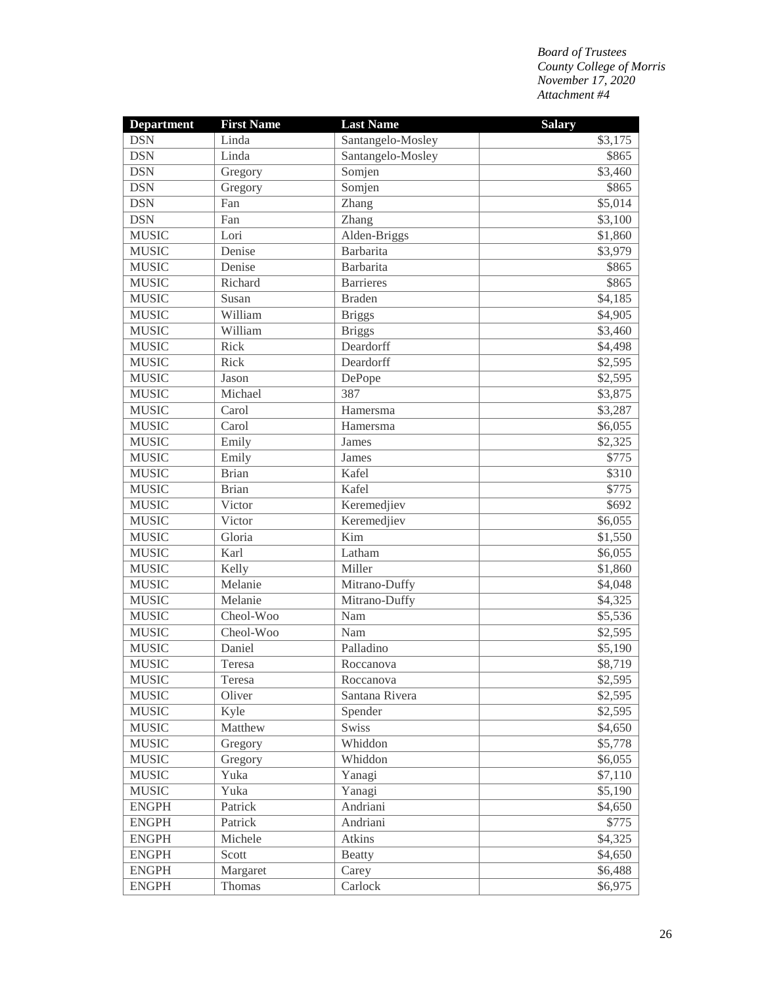| <b>Department</b> | <b>First Name</b> | <b>Last Name</b>        | <b>Salary</b>       |
|-------------------|-------------------|-------------------------|---------------------|
| <b>DSN</b>        | Linda             | Santangelo-Mosley       | \$3,175             |
| <b>DSN</b>        | Linda             | Santangelo-Mosley       | \$865               |
| <b>DSN</b>        | Gregory           | Somjen                  | $\overline{$3,460}$ |
| <b>DSN</b>        | Gregory           | Somjen                  | \$865               |
| <b>DSN</b>        | Fan               | Zhang                   | $\overline{$}5,014$ |
| <b>DSN</b>        | Fan               | Zhang                   | \$3,100             |
| <b>MUSIC</b>      | Lori              | Alden-Briggs            | \$1,860             |
| <b>MUSIC</b>      | Denise            | <b>Barbarita</b>        | \$3,979             |
| <b>MUSIC</b>      | Denise            | <b>Barbarita</b>        | \$865               |
| <b>MUSIC</b>      | Richard           | <b>Barrieres</b>        | \$865               |
| <b>MUSIC</b>      | Susan             | <b>Braden</b>           | \$4,185             |
| <b>MUSIC</b>      | William           | <b>Briggs</b>           | \$4,905             |
| <b>MUSIC</b>      | William           | <b>Briggs</b>           | \$3,460             |
| <b>MUSIC</b>      | Rick              | Deardorff               | \$4,498             |
| <b>MUSIC</b>      | Rick              | Deardorff               | \$2,595             |
| <b>MUSIC</b>      | Jason             | DePope                  | \$2,595             |
| <b>MUSIC</b>      | Michael           | 387                     | \$3,875             |
| <b>MUSIC</b>      | Carol             | Hamersma                | \$3,287             |
| <b>MUSIC</b>      | Carol             | Hamersma                | \$6,055             |
| <b>MUSIC</b>      | Emily             | James                   | \$2,325             |
| <b>MUSIC</b>      | Emily             | James                   | \$775               |
| <b>MUSIC</b>      | <b>Brian</b>      | Kafel                   | \$310               |
| <b>MUSIC</b>      | <b>Brian</b>      | Kafel                   | \$775               |
| <b>MUSIC</b>      | Victor            | Keremedjiev             | \$692               |
| <b>MUSIC</b>      | Victor            | Keremedjiev             | \$6,055             |
| <b>MUSIC</b>      | Gloria            | Kim                     | \$1,550             |
| <b>MUSIC</b>      | Karl              | Latham                  | $\overline{$}6,055$ |
| <b>MUSIC</b>      | Kelly             | Miller                  | \$1,860             |
| <b>MUSIC</b>      | Melanie           | Mitrano-Duffy           | \$4,048             |
| <b>MUSIC</b>      | Melanie           | Mitrano-Duffy           | \$4,325             |
| <b>MUSIC</b>      | Cheol-Woo         | Nam                     | \$5,536             |
| <b>MUSIC</b>      | Cheol-Woo         | $\overline{\text{Nam}}$ | \$2,595             |
| <b>MUSIC</b>      | Daniel            | Palladino               | \$5,190             |
| <b>MUSIC</b>      | Teresa            | Roccanova               | \$8,719             |
| <b>MUSIC</b>      | Teresa            | Roccanova               | \$2,595             |
| <b>MUSIC</b>      | Oliver            | Santana Rivera          | \$2,595             |
| <b>MUSIC</b>      | Kyle              | Spender                 | \$2,595             |
| <b>MUSIC</b>      | Matthew           | Swiss                   | \$4,650             |
| <b>MUSIC</b>      | Gregory           | Whiddon                 | \$5,778             |
| <b>MUSIC</b>      | Gregory           | Whiddon                 | \$6,055             |
| <b>MUSIC</b>      | Yuka              | Yanagi                  | \$7,110             |
| <b>MUSIC</b>      | Yuka              | Yanagi                  | \$5,190             |
| <b>ENGPH</b>      | Patrick           | Andriani                | \$4,650             |
| <b>ENGPH</b>      | Patrick           | Andriani                | \$775               |
| <b>ENGPH</b>      | Michele           | <b>Atkins</b>           | \$4,325             |
| <b>ENGPH</b>      | Scott             | <b>Beatty</b>           | \$4,650             |
| <b>ENGPH</b>      | Margaret          | Carey                   | \$6,488             |
| <b>ENGPH</b>      | Thomas            | Carlock                 | \$6,975             |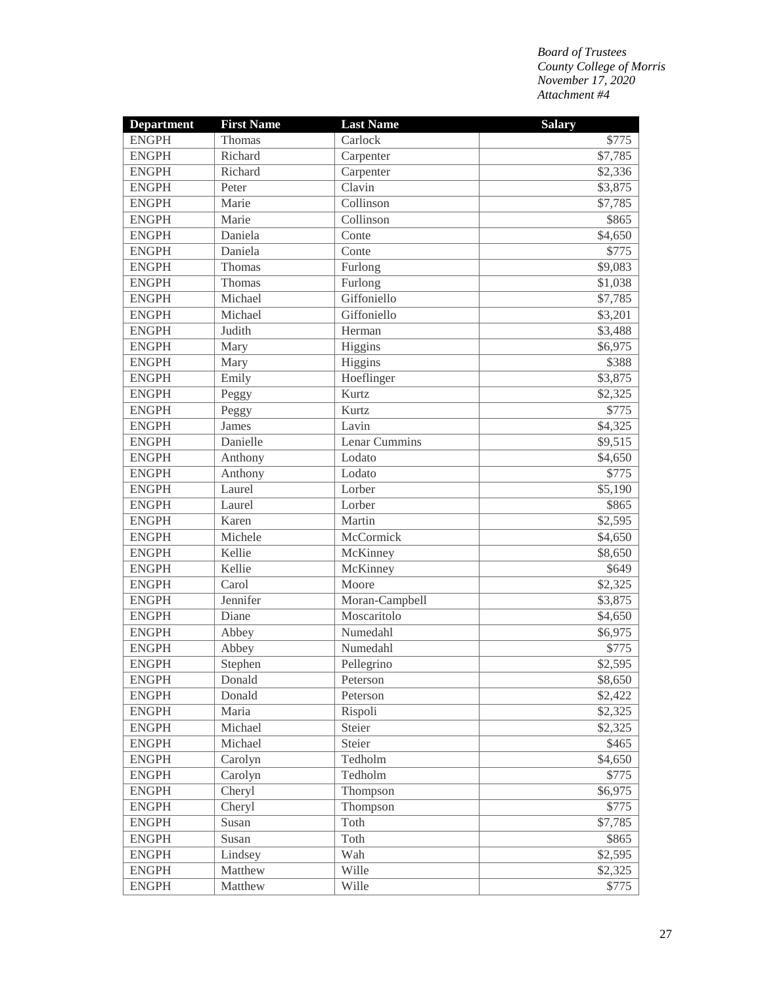| <b>Department</b> | <b>First Name</b> | <b>Last Name</b>              | <b>Salary</b>       |
|-------------------|-------------------|-------------------------------|---------------------|
| <b>ENGPH</b>      | Thomas            | Carlock                       | $\overline{$}775$   |
| <b>ENGPH</b>      | Richard           | Carpenter                     | \$7,785             |
| <b>ENGPH</b>      | Richard           | Carpenter                     | \$2,336             |
| <b>ENGPH</b>      | Peter             | Clavin                        | \$3,875             |
| <b>ENGPH</b>      | Marie             | $\overline{\text{Collinson}}$ | \$7,785             |
| <b>ENGPH</b>      | Marie             | Collinson                     | \$865               |
| <b>ENGPH</b>      | Daniela           | Conte                         | \$4,650             |
| <b>ENGPH</b>      | Daniela           | Conte                         | \$775               |
| <b>ENGPH</b>      | Thomas            | Furlong                       | \$9,083             |
| <b>ENGPH</b>      | Thomas            | Furlong                       | \$1,038             |
| <b>ENGPH</b>      | Michael           | Giffoniello                   | \$7,785             |
| <b>ENGPH</b>      | Michael           | Giffoniello                   | \$3,201             |
| <b>ENGPH</b>      | Judith            | Herman                        | \$3,488             |
| <b>ENGPH</b>      | Mary              | Higgins                       | \$6,975             |
| <b>ENGPH</b>      | Mary              | Higgins                       | \$388               |
| <b>ENGPH</b>      | Emily             | Hoeflinger                    | \$3,875             |
| <b>ENGPH</b>      | Peggy             | Kurtz                         | \$2,325             |
| <b>ENGPH</b>      | Peggy             | Kurtz                         | \$775               |
| <b>ENGPH</b>      | James             | Lavin                         | \$4,325             |
| <b>ENGPH</b>      | Danielle          | Lenar Cummins                 | \$9,515             |
| <b>ENGPH</b>      | Anthony           | Lodato                        | \$4,650             |
| <b>ENGPH</b>      | Anthony           | Lodato                        | \$775               |
| <b>ENGPH</b>      | Laurel            | Lorber                        | \$5,190             |
| <b>ENGPH</b>      | Laurel            | Lorber                        | \$865               |
| <b>ENGPH</b>      | Karen             | Martin                        | \$2,595             |
| <b>ENGPH</b>      | Michele           | McCormick                     | \$4,650             |
| <b>ENGPH</b>      | Kellie            | McKinney                      | $\overline{$8,650}$ |
| <b>ENGPH</b>      | Kellie            | McKinney                      | \$649               |
| <b>ENGPH</b>      | Carol             | Moore                         | \$2,325             |
| <b>ENGPH</b>      | Jennifer          | Moran-Campbell                | \$3,875             |
| <b>ENGPH</b>      | Diane             | Moscaritolo                   | \$4,650             |
| <b>ENGPH</b>      | Abbey             | Numedahl                      | \$6,975             |
| <b>ENGPH</b>      | Abbey             | Numedahl                      | \$775               |
| <b>ENGPH</b>      | Stephen           | Pellegrino                    | \$2,595             |
| <b>ENGPH</b>      | Donald            | Peterson                      | \$8,650             |
| <b>ENGPH</b>      | Donald            | Peterson                      | \$2,422             |
| <b>ENGPH</b>      | Maria             | Rispoli                       | \$2,325             |
| <b>ENGPH</b>      | Michael           | Steier                        | \$2,325             |
| <b>ENGPH</b>      | Michael           | Steier                        | \$465               |
| <b>ENGPH</b>      | Carolyn           | Tedholm                       | \$4,650             |
| <b>ENGPH</b>      | Carolyn           | Tedholm                       | \$775               |
| <b>ENGPH</b>      | Cheryl            | Thompson                      | \$6,975             |
| <b>ENGPH</b>      | Cheryl            | Thompson                      | \$775               |
| <b>ENGPH</b>      | Susan             | Toth                          | \$7,785             |
| <b>ENGPH</b>      | Susan             | Toth                          | \$865               |
| <b>ENGPH</b>      | Lindsey           | Wah                           | \$2,595             |
| <b>ENGPH</b>      | Matthew           | Wille                         | \$2,325             |
| <b>ENGPH</b>      | Matthew           | Wille                         | \$775               |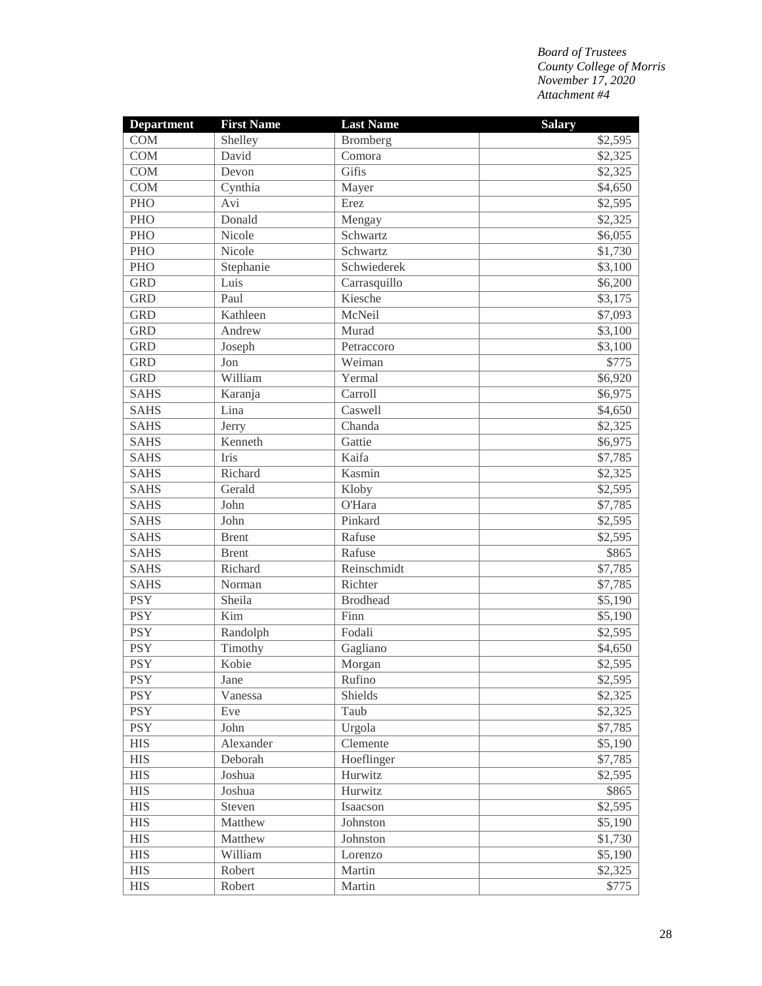| <b>Department</b> | <b>First Name</b>          | <b>Last Name</b> | <b>Salary</b> |
|-------------------|----------------------------|------------------|---------------|
| <b>COM</b>        | Shelley                    | <b>Bromberg</b>  | \$2,595       |
| <b>COM</b>        | David                      | Comora           | \$2,325       |
| <b>COM</b>        | Devon                      | Gifis            | \$2,325       |
| <b>COM</b>        | $\overline{\text{Cyntha}}$ | Mayer            | \$4,650       |
| <b>PHO</b>        | Avi                        | Erez             | \$2,595       |
| <b>PHO</b>        | Donald                     | Mengay           | \$2,325       |
| <b>PHO</b>        | Nicole                     | Schwartz         | \$6,055       |
| <b>PHO</b>        | Nicole                     | Schwartz         | \$1,730       |
| PHO               | Stephanie                  | Schwiederek      | \$3,100       |
| <b>GRD</b>        | Luis                       | Carrasquillo     | \$6,200       |
| <b>GRD</b>        | Paul                       | Kiesche          | \$3,175       |
| <b>GRD</b>        | Kathleen                   | McNeil           | \$7,093       |
| <b>GRD</b>        | Andrew                     | Murad            | \$3,100       |
| <b>GRD</b>        | Joseph                     | Petraccoro       | \$3,100       |
| <b>GRD</b>        | Jon                        | Weiman           | \$775         |
| <b>GRD</b>        | William                    | Yermal           | \$6,920       |
| <b>SAHS</b>       | Karanja                    | Carroll          | \$6,975       |
| <b>SAHS</b>       | Lina                       | Caswell          | \$4,650       |
| <b>SAHS</b>       | Jerry                      | Chanda           | \$2,325       |
| <b>SAHS</b>       | Kenneth                    | Gattie           | \$6,975       |
| <b>SAHS</b>       | Iris                       | Kaifa            | \$7,785       |
| <b>SAHS</b>       | Richard                    | Kasmin           | \$2,325       |
| <b>SAHS</b>       | Gerald                     | Kloby            | \$2,595       |
| <b>SAHS</b>       | John                       | O'Hara           | \$7,785       |
| <b>SAHS</b>       | John                       | Pinkard          | \$2,595       |
| <b>SAHS</b>       | <b>Brent</b>               | Rafuse           | \$2,595       |
| <b>SAHS</b>       | <b>Brent</b>               | Rafuse           | \$865         |
| <b>SAHS</b>       | Richard                    | Reinschmidt      | \$7,785       |
| <b>SAHS</b>       | Norman                     | Richter          | \$7,785       |
| <b>PSY</b>        | Sheila                     | <b>Brodhead</b>  | \$5,190       |
| <b>PSY</b>        | Kim                        | Finn             | \$5,190       |
| <b>PSY</b>        | Randolph                   | Fodali           | \$2,595       |
| <b>PSY</b>        | Timothy                    | Gagliano         | \$4,650       |
| <b>PSY</b>        | Kobie                      | Morgan           | \$2,595       |
| <b>PSY</b>        | Jane                       | Rufino           | \$2,595       |
| <b>PSY</b>        | Vanessa                    | Shields          | \$2,325       |
| <b>PSY</b>        | Eve                        | Taub             | \$2,325       |
| <b>PSY</b>        | John                       | Urgola           | \$7,785       |
| <b>HIS</b>        | Alexander                  | Clemente         | \$5,190       |
| ${\rm HIS}$       | Deborah                    | Hoeflinger       | \$7,785       |
| <b>HIS</b>        | Joshua                     | Hurwitz          | \$2,595       |
| ${\rm HIS}$       | Joshua                     | Hurwitz          | \$865         |
| ${\rm HIS}$       | Steven                     | Isaacson         | \$2,595       |
| ${\rm HIS}$       | Matthew                    | Johnston         | \$5,190       |
| <b>HIS</b>        | Matthew                    | Johnston         | \$1,730       |
| <b>HIS</b>        | William                    | Lorenzo          | \$5,190       |
| <b>HIS</b>        | Robert                     | Martin           | \$2,325       |
| <b>HIS</b>        | Robert                     | Martin           | \$775         |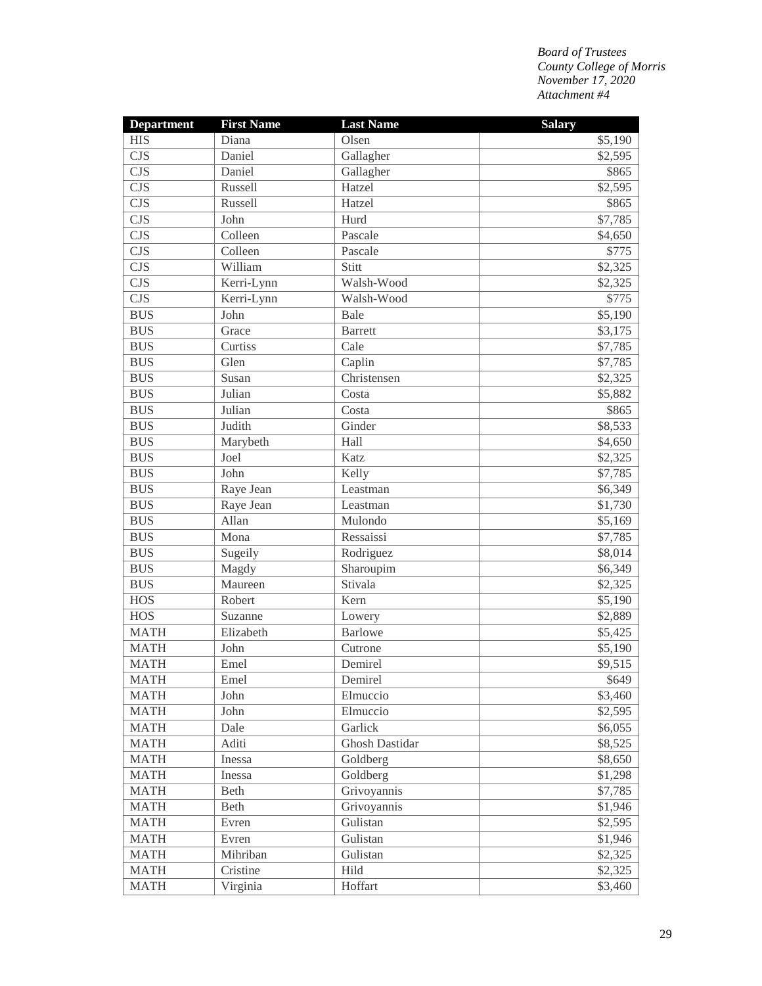| <b>Department</b>       | <b>First Name</b> | <b>Last Name</b>     | <b>Salary</b>       |
|-------------------------|-------------------|----------------------|---------------------|
| <b>HIS</b>              | Diana             | Olsen                | \$5,190             |
| <b>CJS</b>              | Daniel            | Gallagher            | \$2,595             |
| <b>CJS</b>              | Daniel            | Gallagher            | \$865               |
| $\overline{\text{CJS}}$ | Russell           | Hatzel               | \$2,595             |
| <b>CJS</b>              | Russell           | Hatzel               | \$865               |
| <b>CJS</b>              | John              | Hurd                 | \$7,785             |
| <b>CJS</b>              | Colleen           | Pascale              | \$4,650             |
| <b>CJS</b>              | Colleen           | Pascale              | \$775               |
| $\overline{\text{CJS}}$ | William           | Stitt                | \$2,325             |
| <b>CJS</b>              | Kerri-Lynn        | Walsh-Wood           | \$2,325             |
| <b>CJS</b>              | Kerri-Lynn        | Walsh-Wood           | \$775               |
| <b>BUS</b>              | John              | Bale                 | \$5,190             |
| <b>BUS</b>              | Grace             | <b>Barrett</b>       | \$3,175             |
| <b>BUS</b>              | Curtiss           | Cale                 | \$7,785             |
| <b>BUS</b>              | Glen              | Caplin               | \$7,785             |
| <b>BUS</b>              | Susan             | Christensen          | \$2,325             |
| <b>BUS</b>              | Julian            | Costa                | \$5,882             |
| <b>BUS</b>              | Julian            | Costa                | \$865               |
| <b>BUS</b>              | Judith            | $\overline{G}$ inder | $\overline{$8,533}$ |
| <b>BUS</b>              | Marybeth          | Hall                 | \$4,650             |
| <b>BUS</b>              | Joel              | Katz                 | \$2,325             |
| <b>BUS</b>              | John              | Kelly                | \$7,785             |
| <b>BUS</b>              | Raye Jean         | Leastman             | \$6,349             |
| <b>BUS</b>              | Raye Jean         | Leastman             | \$1,730             |
| <b>BUS</b>              | Allan             | Mulondo              | \$5,169             |
| <b>BUS</b>              | Mona              | Ressaissi            | \$7,785             |
| <b>BUS</b>              | Sugeily           | Rodriguez            | \$8,014             |
| <b>BUS</b>              | Magdy             | Sharoupim            | \$6,349             |
| <b>BUS</b>              | Maureen           | Stivala              | \$2,325             |
| <b>HOS</b>              | Robert            | Kern                 | \$5,190             |
| <b>HOS</b>              | Suzanne           | Lowery               | \$2,889             |
| <b>MATH</b>             | Elizabeth         | <b>Barlowe</b>       | \$5,425             |
| <b>MATH</b>             | John              | Cutrone              | \$5,190             |
| <b>MATH</b>             | Emel              | Demirel              | \$9,515             |
| <b>MATH</b>             | Emel              | Demirel              | \$649               |
| <b>MATH</b>             | John              | Elmuccio             | \$3,460             |
| <b>MATH</b>             | John              | Elmuccio             | \$2,595             |
| <b>MATH</b>             | Dale              | Garlick              | \$6,055             |
| <b>MATH</b>             | Aditi             | Ghosh Dastidar       | \$8,525             |
| <b>MATH</b>             | Inessa            | Goldberg             | \$8,650             |
| <b>MATH</b>             | Inessa            | Goldberg             | \$1,298             |
| <b>MATH</b>             | Beth              | Grivoyannis          | \$7,785             |
| <b>MATH</b>             | Beth              | Grivoyannis          | \$1,946             |
| <b>MATH</b>             | Evren             | Gulistan             | \$2,595             |
| <b>MATH</b>             | Evren             | Gulistan             | \$1,946             |
| <b>MATH</b>             | Mihriban          | Gulistan             | \$2,325             |
| <b>MATH</b>             | Cristine          | Hild                 | \$2,325             |
| <b>MATH</b>             | Virginia          | Hoffart              | \$3,460             |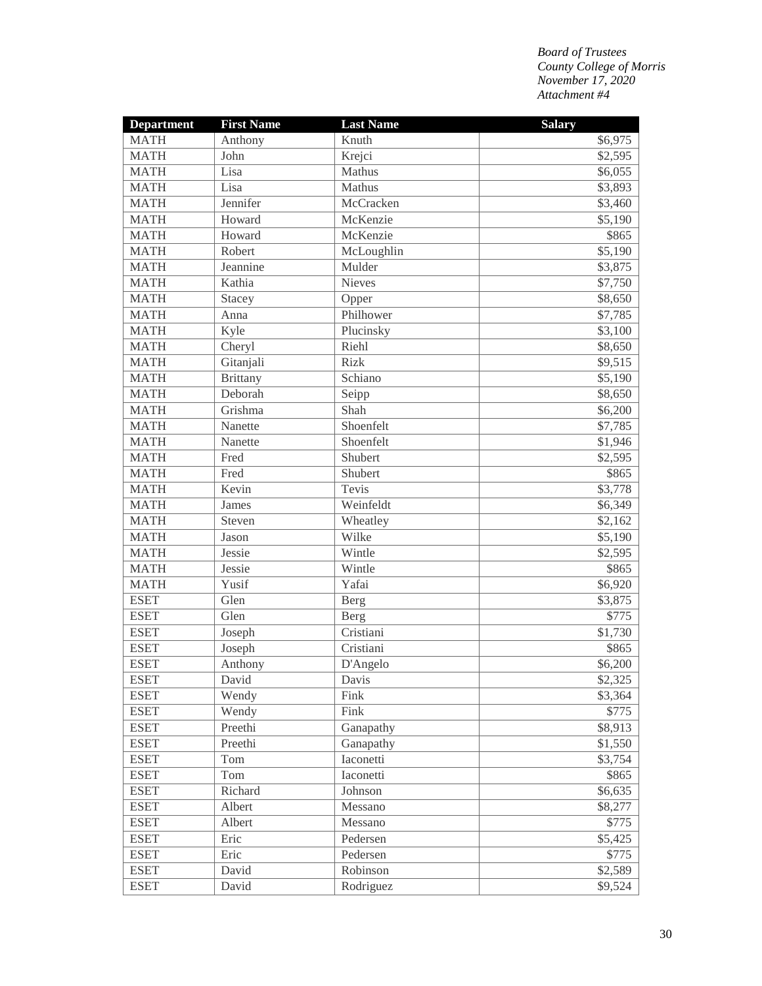| <b>Department</b> | <b>First Name</b> | <b>Last Name</b> | <b>Salary</b> |
|-------------------|-------------------|------------------|---------------|
| <b>MATH</b>       | Anthony           | Knuth            | \$6,975       |
| <b>MATH</b>       | John              | Krejci           | \$2,595       |
| <b>MATH</b>       | Lisa              | Mathus           | \$6,055       |
| <b>MATH</b>       | Lisa              | Mathus           | \$3,893       |
| <b>MATH</b>       | Jennifer          | McCracken        | \$3,460       |
| <b>MATH</b>       | Howard            | McKenzie         | \$5,190       |
| <b>MATH</b>       | Howard            | McKenzie         | \$865         |
| <b>MATH</b>       | Robert            | McLoughlin       | \$5,190       |
| <b>MATH</b>       | Jeannine          | Mulder           | \$3,875       |
| <b>MATH</b>       | Kathia            | <b>Nieves</b>    | \$7,750       |
| <b>MATH</b>       | Stacey            | Opper            | \$8,650       |
| <b>MATH</b>       | Anna              | Philhower        | \$7,785       |
| <b>MATH</b>       | Kyle              | Plucinsky        | \$3,100       |
| <b>MATH</b>       | Cheryl            | Riehl            | \$8,650       |
| <b>MATH</b>       | Gitanjali         | <b>Rizk</b>      | \$9,515       |
| <b>MATH</b>       | <b>Brittany</b>   | Schiano          | \$5,190       |
| <b>MATH</b>       | Deborah           | Seipp            | \$8,650       |
| <b>MATH</b>       | Grishma           | Shah             | \$6,200       |
| <b>MATH</b>       | Nanette           | Shoenfelt        | \$7,785       |
| <b>MATH</b>       | Nanette           | Shoenfelt        | \$1,946       |
| <b>MATH</b>       | Fred              | Shubert          | \$2,595       |
| <b>MATH</b>       | Fred              | Shubert          | \$865         |
| <b>MATH</b>       | Kevin             | Tevis            | \$3,778       |
| <b>MATH</b>       | James             | Weinfeldt        | \$6,349       |
| <b>MATH</b>       | Steven            | Wheatley         | \$2,162       |
| <b>MATH</b>       | Jason             | Wilke            | \$5,190       |
| <b>MATH</b>       | Jessie            | Wintle           | \$2,595       |
| <b>MATH</b>       | Jessie            | Wintle           | \$865         |
| <b>MATH</b>       | Yusif             | Yafai            | \$6,920       |
| <b>ESET</b>       | Glen              | <b>Berg</b>      | \$3,875       |
| <b>ESET</b>       | Glen              | <b>Berg</b>      | \$775         |
| <b>ESET</b>       | Joseph            | Cristiani        | \$1,730       |
| <b>ESET</b>       | Joseph            | Cristiani        | \$865         |
| <b>ESET</b>       | Anthony           | D'Angelo         | \$6,200       |
| <b>ESET</b>       | David             | Davis            | \$2,325       |
| <b>ESET</b>       | Wendy             | Fink             | \$3,364       |
| <b>ESET</b>       | Wendy             | Fink             | \$775         |
| <b>ESET</b>       | Preethi           | Ganapathy        | \$8,913       |
| <b>ESET</b>       | Preethi           | Ganapathy        | \$1,550       |
| <b>ESET</b>       | Tom               | Iaconetti        | \$3,754       |
| <b>ESET</b>       | Tom               | Iaconetti        | \$865         |
| <b>ESET</b>       | Richard           | Johnson          | \$6,635       |
| <b>ESET</b>       | Albert            | Messano          | \$8,277       |
| <b>ESET</b>       | Albert            | Messano          | \$775         |
| <b>ESET</b>       | Eric              | Pedersen         | \$5,425       |
| <b>ESET</b>       | Eric              | Pedersen         | \$775         |
| <b>ESET</b>       | David             | Robinson         | \$2,589       |
| <b>ESET</b>       | David             | Rodriguez        | \$9,524       |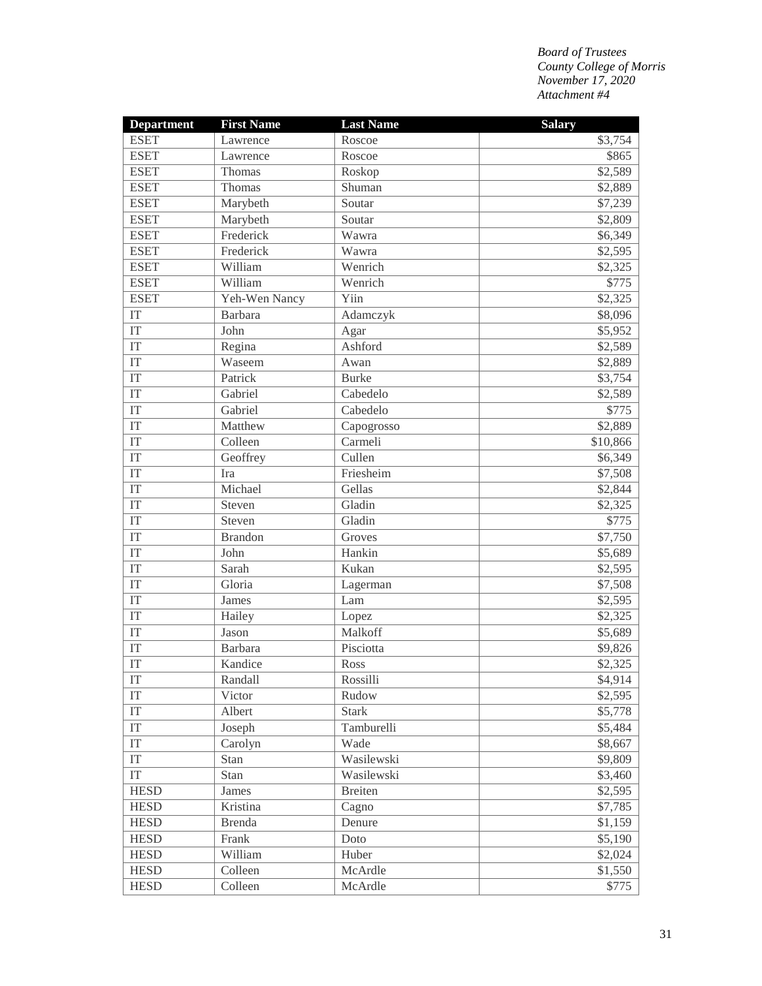| <b>Department</b>          | <b>First Name</b>          | <b>Last Name</b> | <b>Salary</b> |
|----------------------------|----------------------------|------------------|---------------|
| <b>ESET</b>                | Lawrence                   | Roscoe           | \$3,754       |
| <b>ESET</b>                | Lawrence                   | Roscoe           | \$865         |
| <b>ESET</b>                | Thomas                     | Roskop           | \$2,589       |
| <b>ESET</b>                | Thomas                     | Shuman           | \$2,889       |
| <b>ESET</b>                | Marybeth                   | Soutar           | \$7,239       |
| <b>ESET</b>                | Marybeth                   | Soutar           | \$2,809       |
| <b>ESET</b>                | Frederick                  | Wawra            | \$6,349       |
| <b>ESET</b>                | Frederick                  | Wawra            | \$2,595       |
| <b>ESET</b>                | William                    | Wenrich          | \$2,325       |
| <b>ESET</b>                | William                    | Wenrich          | \$775         |
| <b>ESET</b>                | Yeh-Wen Nancy              | Yiin             | \$2,325       |
| $\ensuremath{\mathsf{IT}}$ | <b>Barbara</b>             | Adamczyk         | \$8,096       |
| IT                         | John                       | Agar             | \$5,952       |
| IT                         | $\overline{\text{Regina}}$ | Ashford          | \$2,589       |
| IT                         | Waseem                     | Awan             | \$2,889       |
| $\ensuremath{\mathsf{IT}}$ | Patrick                    | <b>Burke</b>     | \$3,754       |
| IT                         | Gabriel                    | Cabedelo         | \$2,589       |
| IT                         | Gabriel                    | Cabedelo         | \$775         |
| IT                         | Matthew                    | Capogrosso       | \$2,889       |
| $\ensuremath{\mathsf{IT}}$ | Colleen                    | Carmeli          | \$10,866      |
| IT                         | Geoffrey                   | Cullen           | \$6,349       |
| IT                         | Ira                        | Friesheim        | \$7,508       |
| IT                         | Michael                    | Gellas           | \$2,844       |
| $\ensuremath{\mathsf{IT}}$ | Steven                     | Gladin           | \$2,325       |
| IT                         | Steven                     | Gladin           | \$775         |
| IT                         | <b>Brandon</b>             | Groves           | \$7,750       |
| IT                         | John                       | Hankin           | \$5,689       |
| $\ensuremath{\mathsf{IT}}$ | Sarah                      | Kukan            | \$2,595       |
| IT                         | Gloria                     | Lagerman         | \$7,508       |
| IT                         | James                      | Lam              | \$2,595       |
| IT                         | Hailey                     | Lopez            | \$2,325       |
| $\ensuremath{\mathsf{IT}}$ | Jason                      | Malkoff          | \$5,689       |
| IT                         | <b>Barbara</b>             | Pisciotta        | \$9,826       |
| IT                         | Kandice                    | Ross             | \$2,325       |
| IT                         | Randall                    | Rossilli         | \$4,914       |
| $\ensuremath{\mathsf{IT}}$ | Victor                     | Rudow            | \$2,595       |
| $\operatorname{IT}$        | Albert                     | <b>Stark</b>     | \$5,778       |
| IT                         | Joseph                     | Tamburelli       | \$5,484       |
| $\ensuremath{\text{IT}}$   | Carolyn                    | Wade             | \$8,667       |
| IT                         | Stan                       | Wasilewski       | \$9,809       |
| $\ensuremath{\text{IT}}$   | Stan                       | Wasilewski       | \$3,460       |
| <b>HESD</b>                | James                      | <b>Breiten</b>   | \$2,595       |
| <b>HESD</b>                | Kristina                   | Cagno            | \$7,785       |
| <b>HESD</b>                | <b>Brenda</b>              | Denure           | \$1,159       |
| <b>HESD</b>                | Frank                      | Doto             | \$5,190       |
| <b>HESD</b>                | William                    | Huber            | \$2,024       |
| <b>HESD</b>                | Colleen                    | McArdle          | \$1,550       |
| <b>HESD</b>                | Colleen                    | McArdle          | \$775         |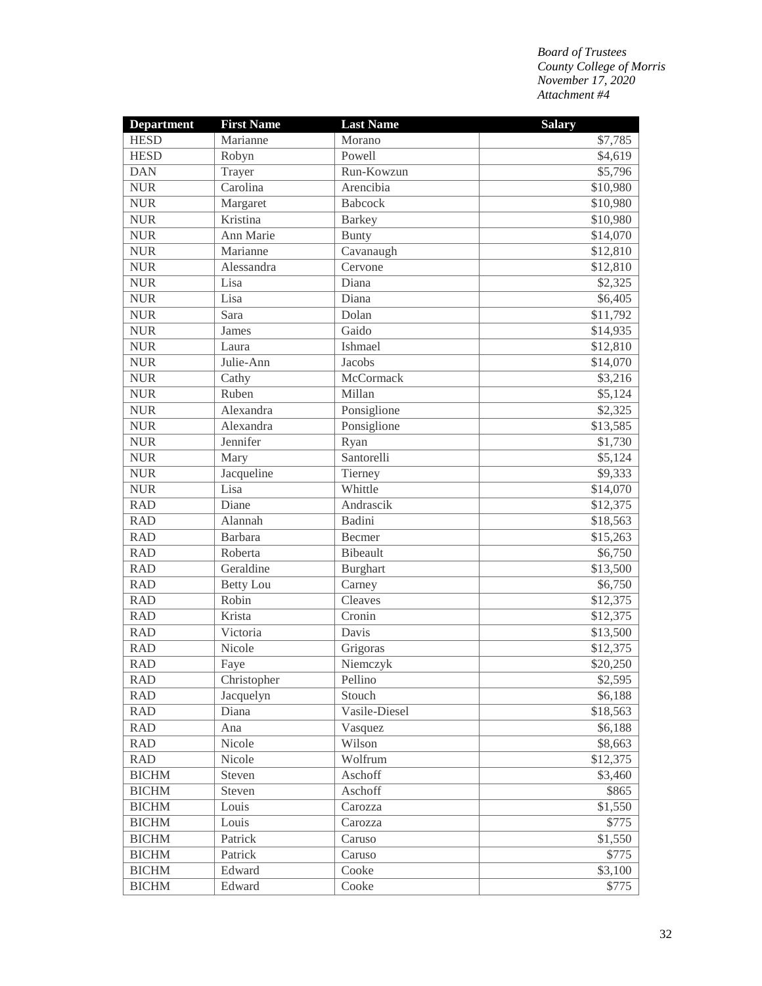| <b>Department</b> | <b>First Name</b> | <b>Last Name</b> | <b>Salary</b> |
|-------------------|-------------------|------------------|---------------|
| <b>HESD</b>       | Marianne          | Morano           | \$7,785       |
| <b>HESD</b>       | Robyn             | Powell           | \$4,619       |
| <b>DAN</b>        | Trayer            | Run-Kowzun       | \$5,796       |
| <b>NUR</b>        | Carolina          | Arencibia        | \$10,980      |
| <b>NUR</b>        | Margaret          | <b>Babcock</b>   | \$10,980      |
| <b>NUR</b>        | Kristina          | <b>Barkey</b>    | \$10,980      |
| <b>NUR</b>        | Ann Marie         | <b>Bunty</b>     | \$14,070      |
| <b>NUR</b>        | Marianne          | Cavanaugh        | \$12,810      |
| <b>NUR</b>        | Alessandra        | Cervone          | \$12,810      |
| <b>NUR</b>        | Lisa              | Diana            | \$2,325       |
| <b>NUR</b>        | Lisa              | Diana            | \$6,405       |
| <b>NUR</b>        | Sara              | Dolan            | \$11,792      |
| <b>NUR</b>        | James             | Gaido            | \$14,935      |
| <b>NUR</b>        | Laura             | Ishmael          | \$12,810      |
| <b>NUR</b>        | Julie-Ann         | Jacobs           | \$14,070      |
| <b>NUR</b>        | Cathy             | McCormack        | \$3,216       |
| <b>NUR</b>        | Ruben             | Millan           | \$5,124       |
| <b>NUR</b>        | Alexandra         | Ponsiglione      | \$2,325       |
| <b>NUR</b>        | Alexandra         | Ponsiglione      | \$13,585      |
| <b>NUR</b>        | Jennifer          | Ryan             | \$1,730       |
| <b>NUR</b>        | Mary              | Santorelli       | \$5,124       |
| <b>NUR</b>        | Jacqueline        | Tierney          | \$9,333       |
| <b>NUR</b>        | Lisa              | Whittle          | \$14,070      |
| <b>RAD</b>        | Diane             | Andrascik        | \$12,375      |
| <b>RAD</b>        | Alannah           | <b>Badini</b>    | \$18,563      |
| <b>RAD</b>        | <b>Barbara</b>    | <b>Becmer</b>    | \$15,263      |
| <b>RAD</b>        | Roberta           | <b>Bibeault</b>  | \$6,750       |
| <b>RAD</b>        | Geraldine         | <b>Burghart</b>  | \$13,500      |
| <b>RAD</b>        | <b>Betty Lou</b>  | Carney           | \$6,750       |
| <b>RAD</b>        | Robin             | Cleaves          | \$12,375      |
| <b>RAD</b>        | Krista            | Cronin           | \$12,375      |
| <b>RAD</b>        | Victoria          | Davis            | \$13,500      |
| <b>RAD</b>        | Nicole            | Grigoras         | \$12,375      |
| <b>RAD</b>        | Faye              | Niemczyk         | \$20,250      |
| <b>RAD</b>        | Christopher       | Pellino          | \$2,595       |
| <b>RAD</b>        | Jacquelyn         | Stouch           | \$6,188       |
| <b>RAD</b>        | Diana             | Vasile-Diesel    | \$18,563      |
| <b>RAD</b>        | Ana               | Vasquez          | \$6,188       |
| <b>RAD</b>        | Nicole            | Wilson           | \$8,663       |
| <b>RAD</b>        | Nicole            | Wolfrum          | \$12,375      |
| <b>BICHM</b>      | Steven            | Aschoff          | \$3,460       |
| <b>BICHM</b>      | Steven            | Aschoff          | \$865         |
| <b>BICHM</b>      | Louis             | Carozza          | \$1,550       |
| <b>BICHM</b>      | Louis             | Carozza          | \$775         |
| <b>BICHM</b>      | Patrick           | Caruso           | \$1,550       |
| <b>BICHM</b>      | Patrick           | Caruso           | \$775         |
| <b>BICHM</b>      | Edward            | Cooke            | \$3,100       |
| <b>BICHM</b>      | Edward            | Cooke            | \$775         |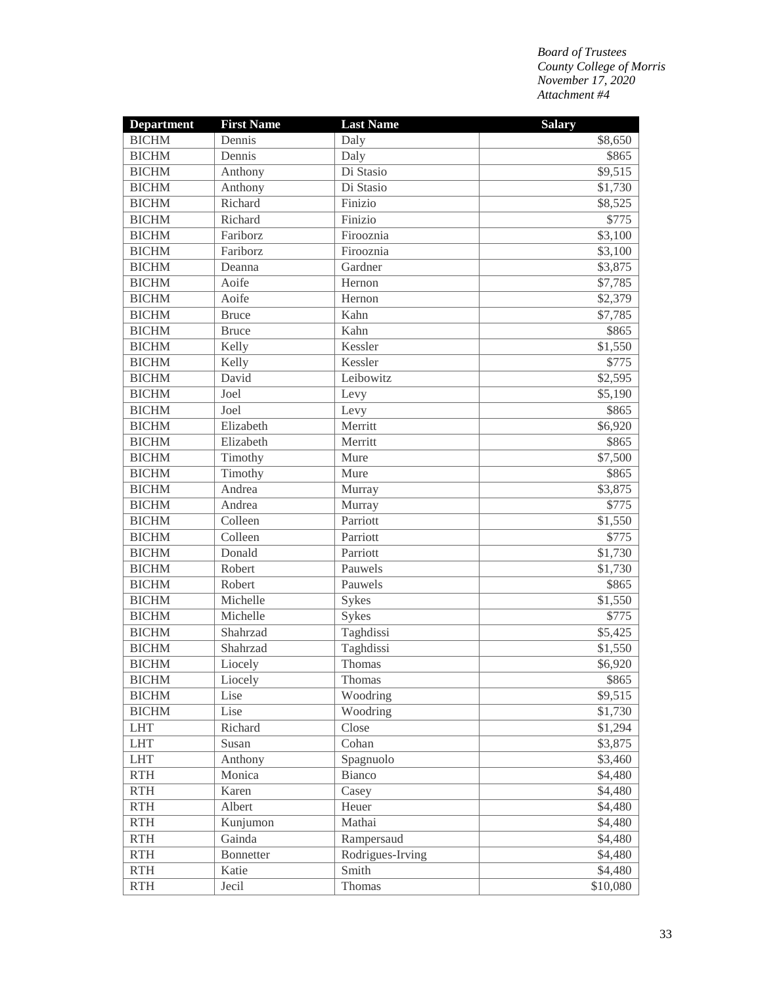| <b>Department</b> | <b>First Name</b> | <b>Last Name</b> | <b>Salary</b> |
|-------------------|-------------------|------------------|---------------|
| <b>BICHM</b>      | Dennis            | Daly             | \$8,650       |
| <b>BICHM</b>      | Dennis            | Daly             | \$865         |
| <b>BICHM</b>      | Anthony           | Di Stasio        | \$9,515       |
| <b>BICHM</b>      | Anthony           | Di Stasio        | \$1,730       |
| <b>BICHM</b>      | Richard           | Finizio          | \$8,525       |
| <b>BICHM</b>      | Richard           | Finizio          | \$775         |
| <b>BICHM</b>      | Fariborz          | Firooznia        | \$3,100       |
| <b>BICHM</b>      | Fariborz          | Firooznia        | \$3,100       |
| <b>BICHM</b>      | Deanna            | Gardner          | \$3,875       |
| <b>BICHM</b>      | Aoife             | Hernon           | \$7,785       |
| <b>BICHM</b>      | Aoife             | Hernon           | \$2,379       |
| <b>BICHM</b>      | <b>Bruce</b>      | Kahn             | \$7,785       |
| <b>BICHM</b>      | <b>Bruce</b>      | Kahn             | \$865         |
| <b>BICHM</b>      | Kelly             | Kessler          | \$1,550       |
| <b>BICHM</b>      | Kelly             | Kessler          | \$775         |
| <b>BICHM</b>      | David             | Leibowitz        | \$2,595       |
| <b>BICHM</b>      | Joel              | Levy             | \$5,190       |
| <b>BICHM</b>      | Joel              | Levy             | \$865         |
| <b>BICHM</b>      | Elizabeth         | Merritt          | \$6,920       |
| <b>BICHM</b>      | Elizabeth         | Merritt          | \$865         |
| <b>BICHM</b>      | Timothy           | Mure             | \$7,500       |
| <b>BICHM</b>      | Timothy           | Mure             | \$865         |
| <b>BICHM</b>      | Andrea            | Murray           | \$3,875       |
| <b>BICHM</b>      | Andrea            | Murray           | \$775         |
| <b>BICHM</b>      | Colleen           | Parriott         | \$1,550       |
| <b>BICHM</b>      | Colleen           | Parriott         | \$775         |
| <b>BICHM</b>      | Donald            | Parriott         | \$1,730       |
| <b>BICHM</b>      | Robert            | Pauwels          | \$1,730       |
| <b>BICHM</b>      | Robert            | Pauwels          | \$865         |
| <b>BICHM</b>      | Michelle          | Sykes            | \$1,550       |
| <b>BICHM</b>      | Michelle          | Sykes            | \$775         |
| <b>BICHM</b>      | Shahrzad          | Taghdissi        | \$5,425       |
| <b>BICHM</b>      | Shahrzad          | Taghdissi        | \$1,550       |
| <b>BICHM</b>      | Liocely           | Thomas           | \$6,920       |
| <b>BICHM</b>      | Liocely           | Thomas           | \$865         |
| <b>BICHM</b>      | Lise              | Woodring         | \$9,515       |
| <b>BICHM</b>      | Lise              | Woodring         | \$1,730       |
| <b>LHT</b>        | Richard           | Close            | \$1,294       |
| <b>LHT</b>        | Susan             | Cohan            | \$3,875       |
| <b>LHT</b>        | Anthony           | Spagnuolo        | \$3,460       |
| RTH               | Monica            | Bianco           | \$4,480       |
| RTH               | Karen             | Casey            | \$4,480       |
| RTH               | Albert            | Heuer            | \$4,480       |
| RTH               | Kunjumon          | Mathai           | \$4,480       |
| RTH               | Gainda            | Rampersaud       | \$4,480       |
| RTH               | <b>Bonnetter</b>  | Rodrigues-Irving | \$4,480       |
| <b>RTH</b>        | Katie             | Smith            | \$4,480       |
| <b>RTH</b>        | Jecil             | Thomas           | \$10,080      |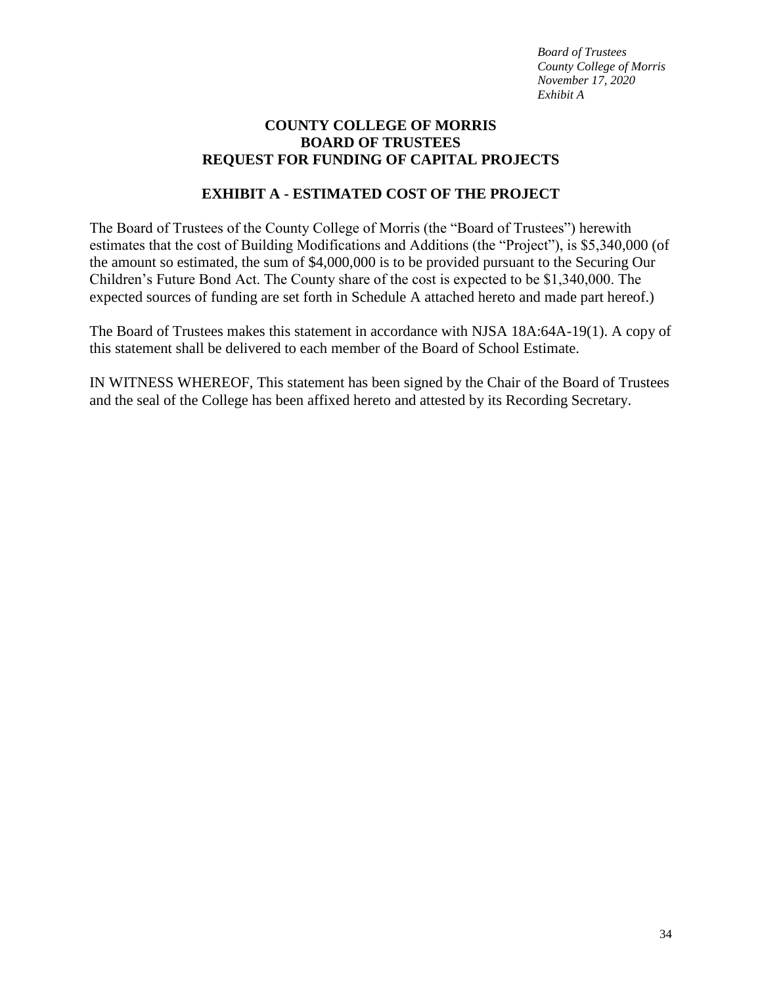*Board of Trustees County College of Morris November 17, 2020 Exhibit A*

#### **COUNTY COLLEGE OF MORRIS BOARD OF TRUSTEES REQUEST FOR FUNDING OF CAPITAL PROJECTS**

### **EXHIBIT A - ESTIMATED COST OF THE PROJECT**

The Board of Trustees of the County College of Morris (the "Board of Trustees") herewith estimates that the cost of Building Modifications and Additions (the "Project"), is \$5,340,000 (of the amount so estimated, the sum of \$4,000,000 is to be provided pursuant to the Securing Our Children's Future Bond Act. The County share of the cost is expected to be \$1,340,000. The expected sources of funding are set forth in Schedule A attached hereto and made part hereof.)

The Board of Trustees makes this statement in accordance with NJSA 18A:64A-19(1). A copy of this statement shall be delivered to each member of the Board of School Estimate.

IN WITNESS WHEREOF, This statement has been signed by the Chair of the Board of Trustees and the seal of the College has been affixed hereto and attested by its Recording Secretary.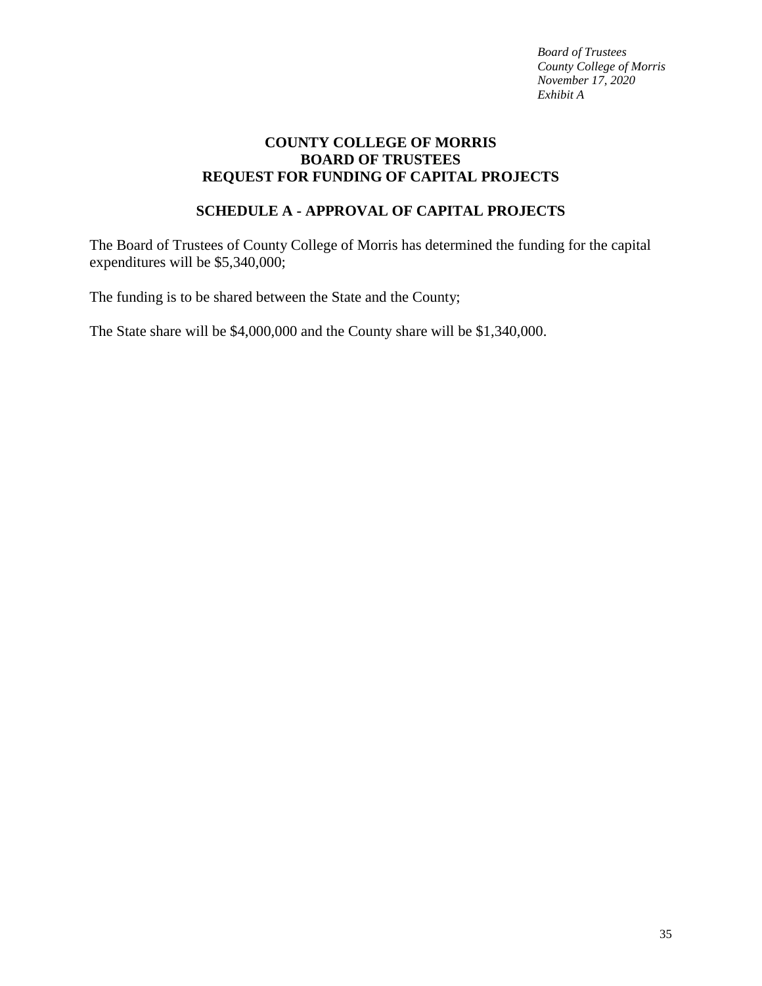*Board of Trustees County College of Morris November 17, 2020 Exhibit A*

### **COUNTY COLLEGE OF MORRIS BOARD OF TRUSTEES REQUEST FOR FUNDING OF CAPITAL PROJECTS**

#### **SCHEDULE A - APPROVAL OF CAPITAL PROJECTS**

The Board of Trustees of County College of Morris has determined the funding for the capital expenditures will be \$5,340,000;

The funding is to be shared between the State and the County;

The State share will be \$4,000,000 and the County share will be \$1,340,000.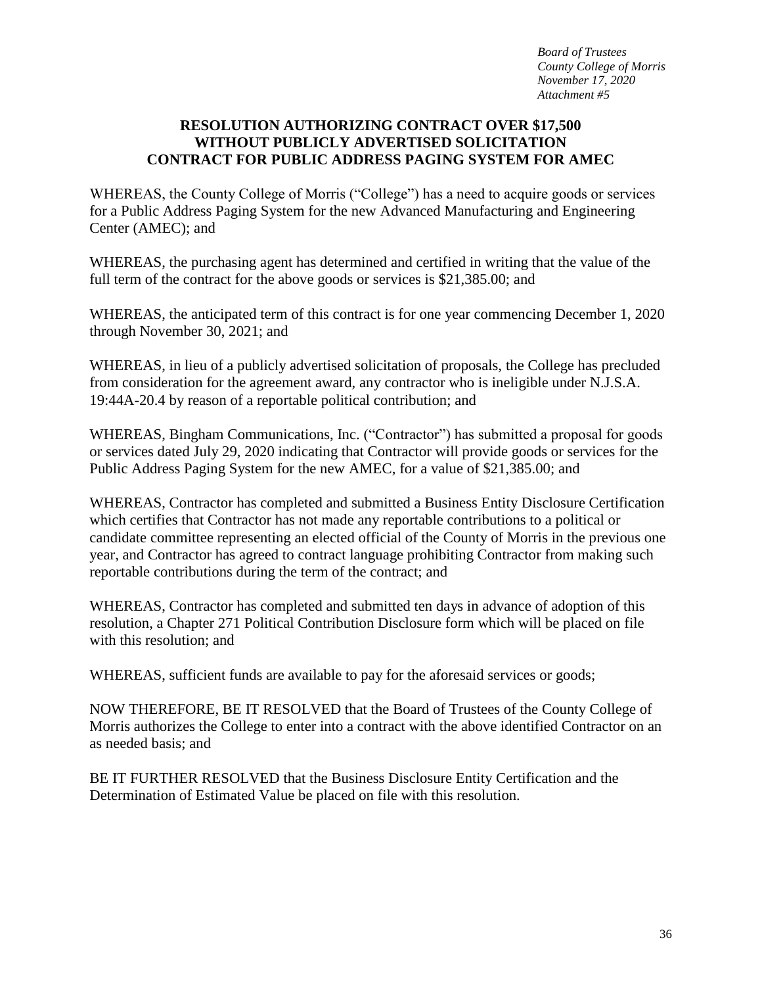#### **RESOLUTION AUTHORIZING CONTRACT OVER \$17,500 WITHOUT PUBLICLY ADVERTISED SOLICITATION CONTRACT FOR PUBLIC ADDRESS PAGING SYSTEM FOR AMEC**

WHEREAS, the County College of Morris ("College") has a need to acquire goods or services for a Public Address Paging System for the new Advanced Manufacturing and Engineering Center (AMEC); and

WHEREAS, the purchasing agent has determined and certified in writing that the value of the full term of the contract for the above goods or services is \$21,385.00; and

WHEREAS, the anticipated term of this contract is for one year commencing December 1, 2020 through November 30, 2021; and

WHEREAS, in lieu of a publicly advertised solicitation of proposals, the College has precluded from consideration for the agreement award, any contractor who is ineligible under N.J.S.A. 19:44A-20.4 by reason of a reportable political contribution; and

WHEREAS, Bingham Communications, Inc. ("Contractor") has submitted a proposal for goods or services dated July 29, 2020 indicating that Contractor will provide goods or services for the Public Address Paging System for the new AMEC, for a value of \$21,385.00; and

WHEREAS, Contractor has completed and submitted a Business Entity Disclosure Certification which certifies that Contractor has not made any reportable contributions to a political or candidate committee representing an elected official of the County of Morris in the previous one year, and Contractor has agreed to contract language prohibiting Contractor from making such reportable contributions during the term of the contract; and

WHEREAS, Contractor has completed and submitted ten days in advance of adoption of this resolution, a Chapter 271 Political Contribution Disclosure form which will be placed on file with this resolution; and

WHEREAS, sufficient funds are available to pay for the aforesaid services or goods;

NOW THEREFORE, BE IT RESOLVED that the Board of Trustees of the County College of Morris authorizes the College to enter into a contract with the above identified Contractor on an as needed basis; and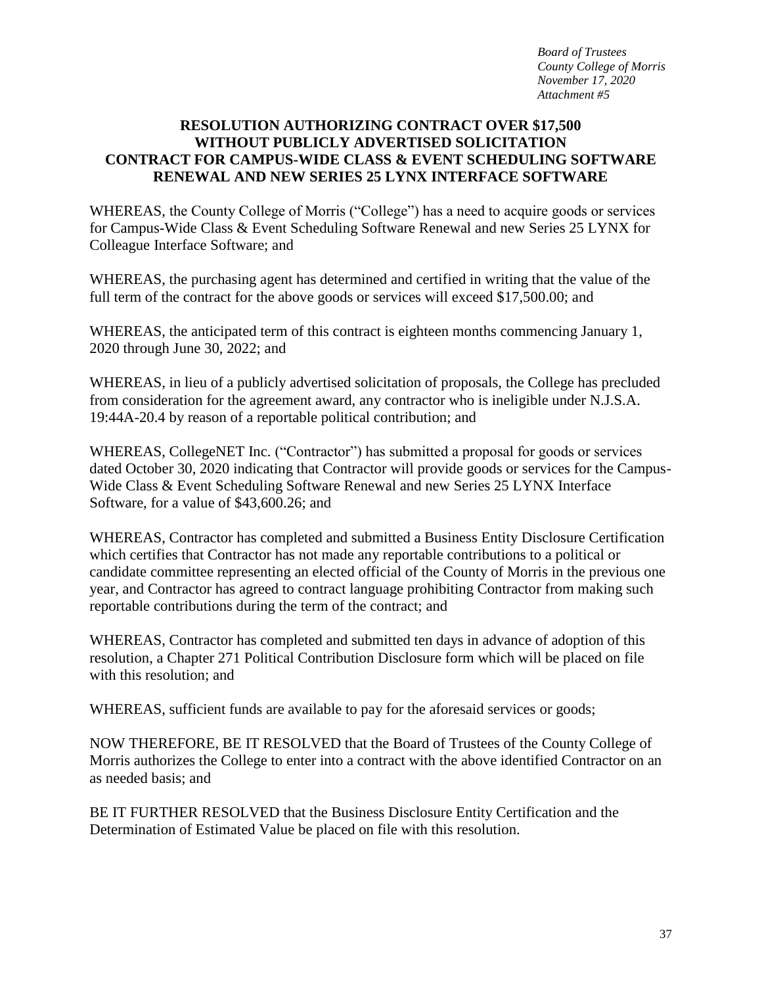### **RESOLUTION AUTHORIZING CONTRACT OVER \$17,500 WITHOUT PUBLICLY ADVERTISED SOLICITATION CONTRACT FOR CAMPUS-WIDE CLASS & EVENT SCHEDULING SOFTWARE RENEWAL AND NEW SERIES 25 LYNX INTERFACE SOFTWARE**

WHEREAS, the County College of Morris ("College") has a need to acquire goods or services for Campus-Wide Class & Event Scheduling Software Renewal and new Series 25 LYNX for Colleague Interface Software; and

WHEREAS, the purchasing agent has determined and certified in writing that the value of the full term of the contract for the above goods or services will exceed \$17,500.00; and

WHEREAS, the anticipated term of this contract is eighteen months commencing January 1, 2020 through June 30, 2022; and

WHEREAS, in lieu of a publicly advertised solicitation of proposals, the College has precluded from consideration for the agreement award, any contractor who is ineligible under N.J.S.A. 19:44A-20.4 by reason of a reportable political contribution; and

WHEREAS, CollegeNET Inc. ("Contractor") has submitted a proposal for goods or services dated October 30, 2020 indicating that Contractor will provide goods or services for the Campus-Wide Class & Event Scheduling Software Renewal and new Series 25 LYNX Interface Software, for a value of \$43,600.26; and

WHEREAS, Contractor has completed and submitted a Business Entity Disclosure Certification which certifies that Contractor has not made any reportable contributions to a political or candidate committee representing an elected official of the County of Morris in the previous one year, and Contractor has agreed to contract language prohibiting Contractor from making such reportable contributions during the term of the contract; and

WHEREAS, Contractor has completed and submitted ten days in advance of adoption of this resolution, a Chapter 271 Political Contribution Disclosure form which will be placed on file with this resolution; and

WHEREAS, sufficient funds are available to pay for the aforesaid services or goods;

NOW THEREFORE, BE IT RESOLVED that the Board of Trustees of the County College of Morris authorizes the College to enter into a contract with the above identified Contractor on an as needed basis; and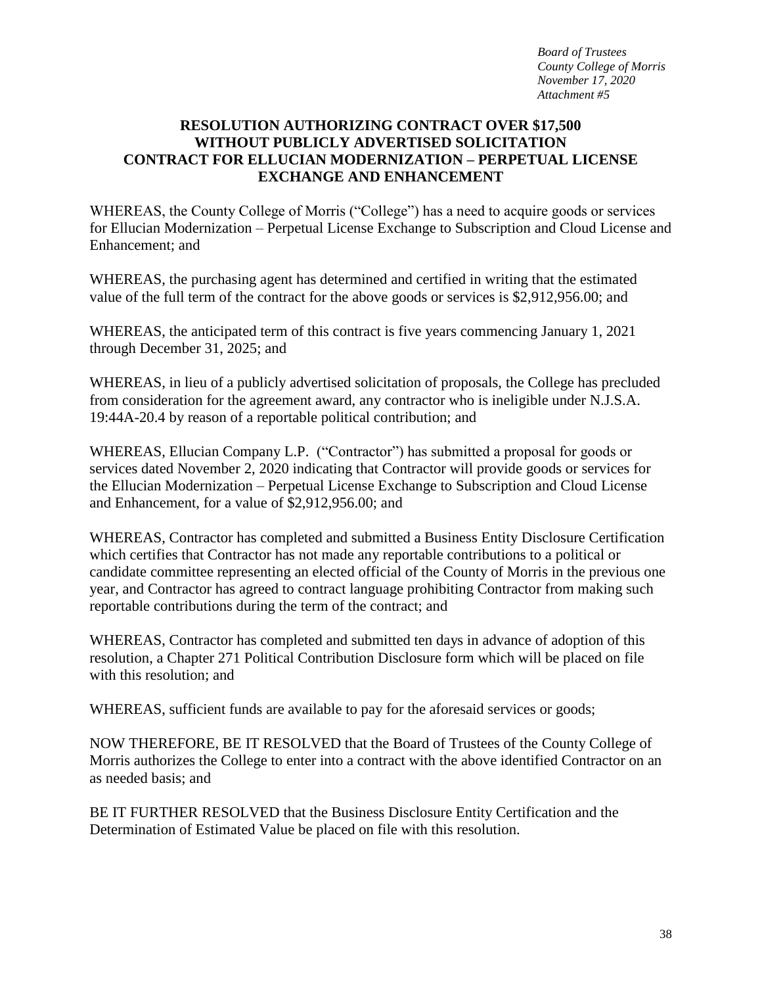### **RESOLUTION AUTHORIZING CONTRACT OVER \$17,500 WITHOUT PUBLICLY ADVERTISED SOLICITATION CONTRACT FOR ELLUCIAN MODERNIZATION – PERPETUAL LICENSE EXCHANGE AND ENHANCEMENT**

WHEREAS, the County College of Morris ("College") has a need to acquire goods or services for Ellucian Modernization – Perpetual License Exchange to Subscription and Cloud License and Enhancement; and

WHEREAS, the purchasing agent has determined and certified in writing that the estimated value of the full term of the contract for the above goods or services is \$2,912,956.00; and

WHEREAS, the anticipated term of this contract is five years commencing January 1, 2021 through December 31, 2025; and

WHEREAS, in lieu of a publicly advertised solicitation of proposals, the College has precluded from consideration for the agreement award, any contractor who is ineligible under N.J.S.A. 19:44A-20.4 by reason of a reportable political contribution; and

WHEREAS, Ellucian Company L.P. ("Contractor") has submitted a proposal for goods or services dated November 2, 2020 indicating that Contractor will provide goods or services for the Ellucian Modernization – Perpetual License Exchange to Subscription and Cloud License and Enhancement, for a value of \$2,912,956.00; and

WHEREAS, Contractor has completed and submitted a Business Entity Disclosure Certification which certifies that Contractor has not made any reportable contributions to a political or candidate committee representing an elected official of the County of Morris in the previous one year, and Contractor has agreed to contract language prohibiting Contractor from making such reportable contributions during the term of the contract; and

WHEREAS, Contractor has completed and submitted ten days in advance of adoption of this resolution, a Chapter 271 Political Contribution Disclosure form which will be placed on file with this resolution; and

WHEREAS, sufficient funds are available to pay for the aforesaid services or goods;

NOW THEREFORE, BE IT RESOLVED that the Board of Trustees of the County College of Morris authorizes the College to enter into a contract with the above identified Contractor on an as needed basis; and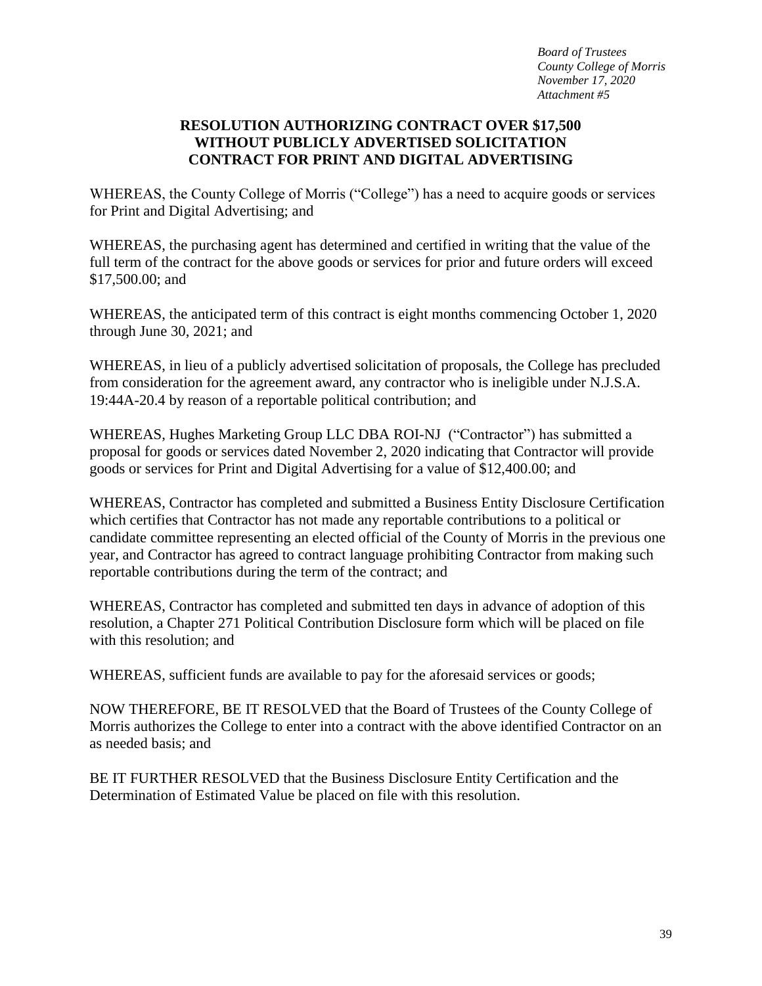### **RESOLUTION AUTHORIZING CONTRACT OVER \$17,500 WITHOUT PUBLICLY ADVERTISED SOLICITATION CONTRACT FOR PRINT AND DIGITAL ADVERTISING**

WHEREAS, the County College of Morris ("College") has a need to acquire goods or services for Print and Digital Advertising; and

WHEREAS, the purchasing agent has determined and certified in writing that the value of the full term of the contract for the above goods or services for prior and future orders will exceed \$17,500.00; and

WHEREAS, the anticipated term of this contract is eight months commencing October 1, 2020 through June 30, 2021; and

WHEREAS, in lieu of a publicly advertised solicitation of proposals, the College has precluded from consideration for the agreement award, any contractor who is ineligible under N.J.S.A. 19:44A-20.4 by reason of a reportable political contribution; and

WHEREAS, Hughes Marketing Group LLC DBA ROI-NJ ("Contractor") has submitted a proposal for goods or services dated November 2, 2020 indicating that Contractor will provide goods or services for Print and Digital Advertising for a value of \$12,400.00; and

WHEREAS, Contractor has completed and submitted a Business Entity Disclosure Certification which certifies that Contractor has not made any reportable contributions to a political or candidate committee representing an elected official of the County of Morris in the previous one year, and Contractor has agreed to contract language prohibiting Contractor from making such reportable contributions during the term of the contract; and

WHEREAS, Contractor has completed and submitted ten days in advance of adoption of this resolution, a Chapter 271 Political Contribution Disclosure form which will be placed on file with this resolution; and

WHEREAS, sufficient funds are available to pay for the aforesaid services or goods;

NOW THEREFORE, BE IT RESOLVED that the Board of Trustees of the County College of Morris authorizes the College to enter into a contract with the above identified Contractor on an as needed basis; and